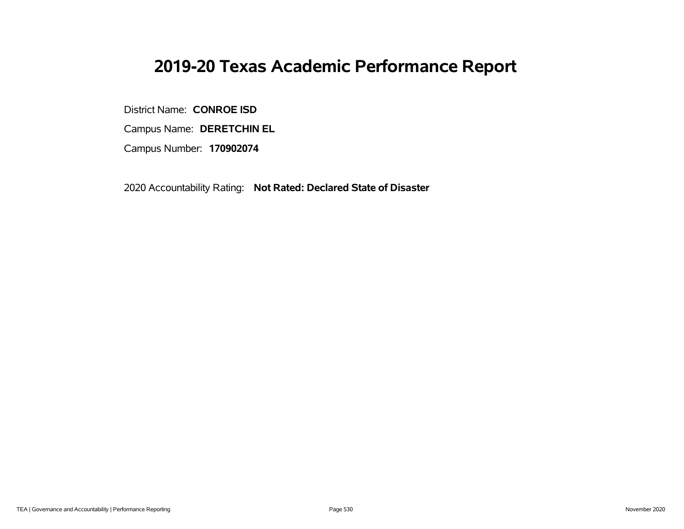# **2019-20 Texas Academic Performance Report**

District Name: **CONROE ISD**

Campus Name: **DERETCHIN EL**

Campus Number: **170902074**

2020 Accountability Rating: **Not Rated: Declared State of Disaster**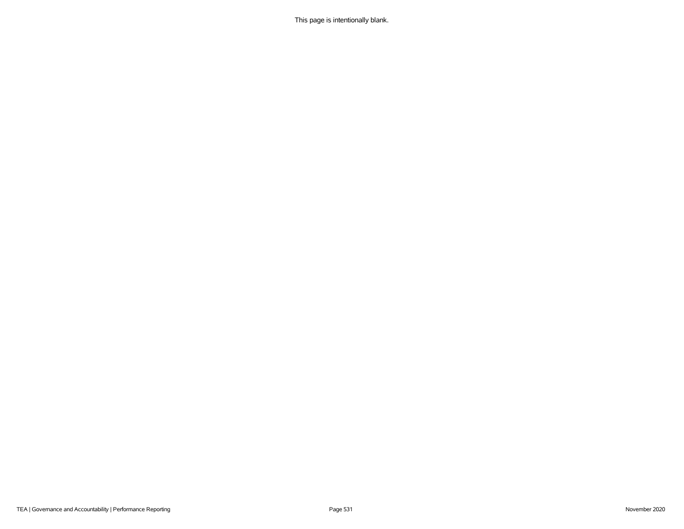This page is intentionally blank.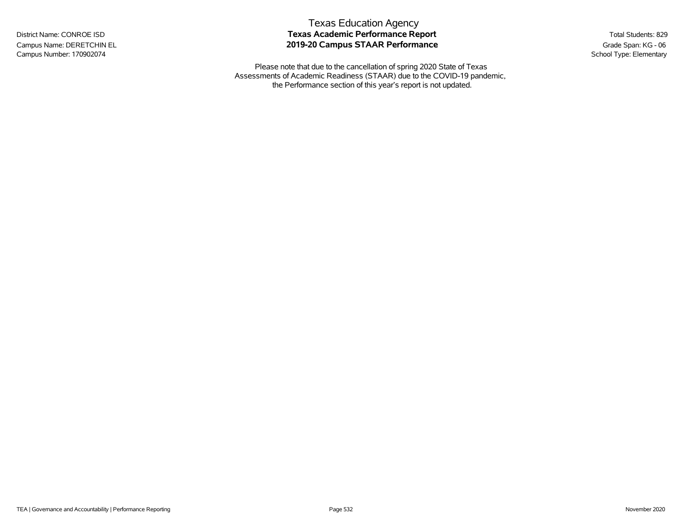Campus Number: 170902074 School Type: Elementary

### Texas Education Agency District Name: CONROE ISD **Texas Academic Performance Report Texas Academic Performance Report** Total Students: 829 Campus Name: DERETCHIN EL **2019-20 Campus STAAR Performance** Grade Span: KG - 06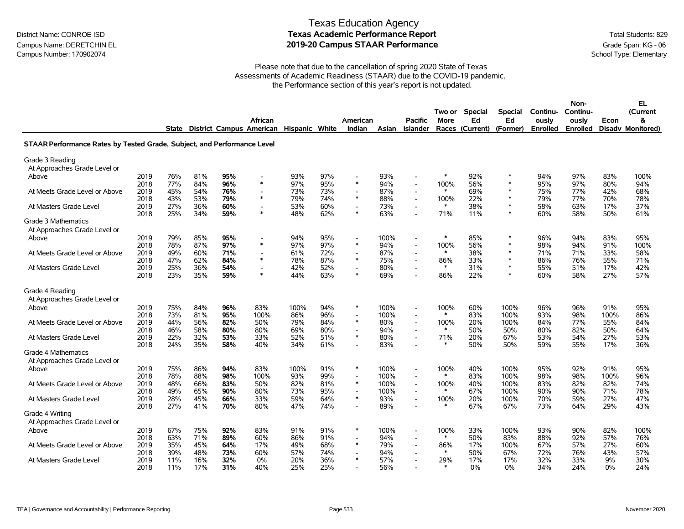### Texas Education Agency District Name: CONROE ISD **Texas Academic Performance Report Texas Academic Performance Report** Total Students: 829 Campus Name: DERETCHIN EL **2019-20 Campus STAAR Performance** Grade Span: KG - 06

|                                                                         |              | State      |            |            | African<br>District Campus American | <b>Hispanic White</b> |            | American<br>Indian                 | Asian       | <b>Pacific</b><br><b>Islander</b>                    | Two or<br><b>More</b> | Special<br>Ed<br>Races (Current) | <b>Special</b><br>Ed<br>(Former) | Continu-<br>ously<br><b>Enrolled</b> | Non-<br>Continu-<br>ously<br><b>Enrolled</b> | Econ       | EL.<br>(Current<br>&<br>Disady Monitored) |
|-------------------------------------------------------------------------|--------------|------------|------------|------------|-------------------------------------|-----------------------|------------|------------------------------------|-------------|------------------------------------------------------|-----------------------|----------------------------------|----------------------------------|--------------------------------------|----------------------------------------------|------------|-------------------------------------------|
| STAAR Performance Rates by Tested Grade, Subject, and Performance Level |              |            |            |            |                                     |                       |            |                                    |             |                                                      |                       |                                  |                                  |                                      |                                              |            |                                           |
| Grade 3 Reading                                                         |              |            |            |            |                                     |                       |            |                                    |             |                                                      |                       |                                  |                                  |                                      |                                              |            |                                           |
| At Approaches Grade Level or                                            |              |            |            |            |                                     |                       |            |                                    |             |                                                      | $\ast$                |                                  |                                  |                                      |                                              |            |                                           |
| Above                                                                   | 2019<br>2018 | 76%<br>77% | 81%<br>84% | 95%<br>96% | $\ast$                              | 93%<br>97%            | 97%<br>95% | $\ast$                             | 93%<br>94%  | $\overline{\phantom{a}}$<br>$\blacksquare$           | 100%                  | 92%<br>56%                       | $\ast$                           | 94%<br>95%                           | 97%<br>97%                                   | 83%<br>80% | 100%<br>94%                               |
| At Meets Grade Level or Above                                           | 2019         | 45%        | 54%        | 76%        | $\overline{\phantom{a}}$            | 73%                   | 73%        | $\overline{\phantom{a}}$           | 87%         | $\overline{\phantom{a}}$                             | $\ast$                | 69%                              | $\ast$                           | 75%                                  | 77%                                          | 42%        | 68%                                       |
|                                                                         | 2018         | 43%        | 53%        | 79%        | $\ast$                              | 79%                   | 74%        | $\ast$                             | 88%         | $\blacksquare$                                       | 100%                  | 22%                              | $\ast$                           | 79%                                  | 77%                                          | 70%        | 78%                                       |
| At Masters Grade Level                                                  | 2019         | 27%        | 36%        | 60%        | $\overline{\phantom{a}}$            | 53%                   | 60%        | $\overline{\phantom{a}}$           | 73%         | $\blacksquare$                                       | $\ast$                | 38%                              | $\ast$                           | 58%                                  | 63%                                          | 17%        | 37%                                       |
|                                                                         | 2018         | 25%        | 34%        | 59%        | $\ast$                              | 48%                   | 62%        | $\ast$                             | 63%         | $\blacksquare$                                       | 71%                   | 11%                              | $\ast$                           | 60%                                  | 58%                                          | 50%        | 61%                                       |
| Grade 3 Mathematics                                                     |              |            |            |            |                                     |                       |            |                                    |             |                                                      |                       |                                  |                                  |                                      |                                              |            |                                           |
| At Approaches Grade Level or                                            |              |            |            |            |                                     |                       |            |                                    |             |                                                      |                       |                                  |                                  |                                      |                                              |            |                                           |
| Above                                                                   | 2019<br>2018 | 79%<br>78% | 85%<br>87% | 95%<br>97% | $\ast$                              | 94%<br>97%            | 95%<br>97% | $\overline{\phantom{a}}$<br>$\ast$ | 100%<br>94% | $\overline{\phantom{a}}$<br>$\blacksquare$           | $\ast$<br>100%        | 85%<br>56%                       |                                  | 96%<br>98%                           | 94%<br>94%                                   | 83%<br>91% | 95%<br>100%                               |
| At Meets Grade Level or Above                                           | 2019         | 49%        | 60%        | 71%        |                                     | 61%                   | 72%        |                                    | 87%         | $\blacksquare$                                       | $\ast$                | 38%                              |                                  | 71%                                  | 71%                                          | 33%        | 58%                                       |
|                                                                         | 2018         | 47%        | 62%        | 84%        | $\ast$                              | 78%                   | 87%        | $\ast$                             | 75%         | $\blacksquare$                                       | 86%                   | 33%                              |                                  | 86%                                  | 76%                                          | 55%        | 71%                                       |
| At Masters Grade Level                                                  | 2019         | 25%        | 36%        | 54%        |                                     | 42%                   | 52%        |                                    | 80%         | $\overline{\phantom{a}}$                             | $\ast$                | 31%                              | $\ast$                           | 55%                                  | 51%                                          | 17%        | 42%                                       |
|                                                                         | 2018         | 23%        | 35%        | 59%        | $\ast$                              | 44%                   | 63%        | $\ast$                             | 69%         |                                                      | 86%                   | 22%                              | $\ast$                           | 60%                                  | 58%                                          | 27%        | 57%                                       |
| Grade 4 Reading                                                         |              |            |            |            |                                     |                       |            |                                    |             |                                                      |                       |                                  |                                  |                                      |                                              |            |                                           |
| At Approaches Grade Level or                                            |              |            |            |            |                                     |                       |            |                                    |             |                                                      |                       |                                  |                                  |                                      |                                              |            |                                           |
| Above                                                                   | 2019         | 75%        | 84%        | 96%        | 83%                                 | 100%                  | 94%        | $\ast$                             | 100%        | $\overline{\phantom{a}}$                             | 100%                  | 60%                              | 100%                             | 96%                                  | 96%                                          | 91%        | 95%                                       |
|                                                                         | 2018         | 73%        | 81%        | 95%        | 100%                                | 86%                   | 96%        |                                    | 100%        |                                                      | $\ast$                | 83%                              | 100%                             | 93%                                  | 98%                                          | 100%       | 86%                                       |
| At Meets Grade Level or Above                                           | 2019         | 44%        | 56%        | 82%        | 50%                                 | 79%                   | 84%        | $\ast$                             | 80%         | $\blacksquare$                                       | 100%                  | 20%                              | 100%                             | 84%                                  | 77%                                          | 55%        | 84%                                       |
|                                                                         | 2018         | 46%        | 58%        | 80%        | 80%                                 | 69%                   | 80%        | $\overline{\phantom{a}}$           | 94%         | $\overline{a}$                                       | $\ast$                | 50%                              | 50%                              | 80%                                  | 82%                                          | 50%        | 64%                                       |
| At Masters Grade Level                                                  | 2019         | 22%        | 32%        | 53%        | 33%                                 | 52%                   | 51%        | $\ast$                             | 80%         | $\blacksquare$                                       | 71%                   | 20%                              | 67%                              | 53%                                  | 54%                                          | 27%        | 53%                                       |
|                                                                         | 2018         | 24%        | 35%        | 58%        | 40%                                 | 34%                   | 61%        |                                    | 83%         |                                                      | $\ast$                | 50%                              | 50%                              | 59%                                  | 55%                                          | 17%        | 36%                                       |
| Grade 4 Mathematics                                                     |              |            |            |            |                                     |                       |            |                                    |             |                                                      |                       |                                  |                                  |                                      |                                              |            |                                           |
| At Approaches Grade Level or                                            | 2019         |            | 86%        | 94%        | 83%                                 | 100%                  | 91%        | $\ast$                             | 100%        |                                                      | 100%                  | 40%                              | 100%                             | 95%                                  | 92%                                          | 91%        | 95%                                       |
| Above                                                                   | 2018         | 75%<br>78% | 88%        | 98%        | 100%                                | 93%                   | 99%        | $\blacksquare$                     | 100%        | $\overline{\phantom{a}}$<br>$\overline{\phantom{a}}$ | $\ast$                | 83%                              | 100%                             | 98%                                  | 98%                                          | 100%       | 96%                                       |
| At Meets Grade Level or Above                                           | 2019         | 48%        | 66%        | 83%        | 50%                                 | 82%                   | 81%        | $\ast$                             | 100%        | $\overline{\phantom{a}}$                             | 100%                  | 40%                              | 100%                             | 83%                                  | 82%                                          | 82%        | 74%                                       |
|                                                                         | 2018         | 49%        | 65%        | 90%        | 80%                                 | 73%                   | 95%        | $\blacksquare$                     | 100%        | $\overline{\phantom{a}}$                             | $\ast$                | 67%                              | 100%                             | 90%                                  | 90%                                          | 71%        | 78%                                       |
| At Masters Grade Level                                                  | 2019         | 28%        | 45%        | 66%        | 33%                                 | 59%                   | 64%        | $\ast$                             | 93%         | $\overline{\phantom{a}}$                             | 100%                  | 20%                              | 100%                             | 70%                                  | 59%                                          | 27%        | 47%                                       |
|                                                                         | 2018         | 27%        | 41%        | 70%        | 80%                                 | 47%                   | 74%        |                                    | 89%         | $\overline{a}$                                       | $\ast$                | 67%                              | 67%                              | 73%                                  | 64%                                          | 29%        | 43%                                       |
| Grade 4 Writing                                                         |              |            |            |            |                                     |                       |            |                                    |             |                                                      |                       |                                  |                                  |                                      |                                              |            |                                           |
| At Approaches Grade Level or                                            |              |            |            |            |                                     |                       |            | $\ast$                             |             |                                                      |                       |                                  |                                  |                                      |                                              |            |                                           |
| Above                                                                   | 2019         | 67%        | 75%        | 92%        | 83%                                 | 91%                   | 91%        |                                    | 100%        | $\overline{\phantom{a}}$                             | 100%<br>∗             | 33%                              | 100%                             | 93%                                  | 90%                                          | 82%<br>57% | 100%                                      |
| At Meets Grade Level or Above                                           | 2018<br>2019 | 63%<br>35% | 71%<br>45% | 89%<br>64% | 60%<br>17%                          | 86%<br>49%            | 91%<br>68% | $\ast$                             | 94%<br>79%  | $\overline{\phantom{a}}$<br>$\overline{\phantom{a}}$ | 86%                   | 50%<br>17%                       | 83%<br>100%                      | 88%<br>67%                           | 92%<br>57%                                   | 27%        | 76%<br>60%                                |
|                                                                         | 2018         | 39%        | 48%        | 73%        | 60%                                 | 57%                   | 74%        |                                    | 94%         | $\overline{\phantom{a}}$                             | $\ast$                | 50%                              | 67%                              | 72%                                  | 76%                                          | 43%        | 57%                                       |
| At Masters Grade Level                                                  | 2019         | 11%        | 16%        | 32%        | 0%                                  | 20%                   | 36%        | $\ast$                             | 57%         | $\blacksquare$                                       | 29%                   | 17%                              | 17%                              | 32%                                  | 33%                                          | 9%         | 30%                                       |
|                                                                         | 2018         | 11%        | 17%        | 31%        | 40%                                 | 25%                   | 25%        |                                    | 56%         |                                                      | ∗                     | $0\%$                            | $0\%$                            | 34%                                  | 24%                                          | $0\%$      | 24%                                       |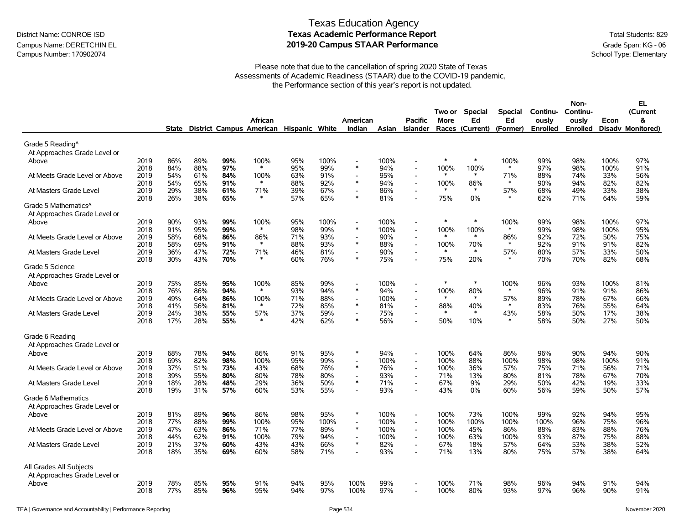### Texas Education Agency District Name: CONROE ISD **Texas Academic Performance Report Texas Academic Performance Report** Total Students: 829 Campus Name: DERETCHIN EL **2019-20 Campus STAAR Performance** Grade Span: KG - 06

|                                  |              |              |            |            |                                         |            |            |                                    |            |                                                      |             |                 |                |                 | Non-            |            | EL                |
|----------------------------------|--------------|--------------|------------|------------|-----------------------------------------|------------|------------|------------------------------------|------------|------------------------------------------------------|-------------|-----------------|----------------|-----------------|-----------------|------------|-------------------|
|                                  |              |              |            |            |                                         |            |            |                                    |            |                                                      | Two or      | Special         | <b>Special</b> | Continu-        | Continu-        |            | (Current          |
|                                  |              |              |            |            | <b>African</b>                          |            |            | American                           |            | <b>Pacific</b>                                       | <b>More</b> | Ed              | Ed             | ously           | ously           | Econ       | &                 |
|                                  |              | <b>State</b> |            |            | District Campus American Hispanic White |            |            | Indian                             | Asian      | <b>Islander</b>                                      |             | Races (Current) | (Former)       | <b>Enrolled</b> | <b>Enrolled</b> |            | Disadv Monitored) |
| Grade 5 Reading^                 |              |              |            |            |                                         |            |            |                                    |            |                                                      |             |                 |                |                 |                 |            |                   |
| At Approaches Grade Level or     |              |              |            |            |                                         |            |            |                                    |            |                                                      |             |                 |                |                 |                 |            |                   |
| Above                            | 2019         | 86%          | 89%        | 99%        | 100%                                    | 95%        | 100%       | $\overline{\phantom{a}}$           | 100%       | $\overline{\phantom{a}}$                             | $\ast$      | $\ast$          | 100%           | 99%             | 98%             | 100%       | 97%               |
|                                  | 2018         | 84%          | 88%        | 97%        | $\ast$                                  | 95%        | 99%        | $\ast$                             | 94%        | $\sim$                                               | 100%        | 100%            | ∗              | 97%             | 98%             | 100%       | 91%               |
| At Meets Grade Level or Above    | 2019         | 54%          | 61%        | 84%        | 100%                                    | 63%        | 91%        | $\sim$                             | 95%        | $\overline{\phantom{a}}$                             | $\ast$      | $\ast$          | 71%            | 88%             | 74%             | 33%        | 56%               |
|                                  | 2018         | 54%          | 65%        | 91%        | $\ast$                                  | 88%        | 92%        | $\ast$                             | 94%        | $\overline{\phantom{a}}$                             | 100%        | 86%             | $\ast$         | 90%             | 94%             | 82%        | 82%               |
| At Masters Grade Level           | 2019         | 29%          | 38%        | 61%        | 71%                                     | 39%        | 67%        | $\overline{\phantom{a}}$           | 86%        | $\sim$                                               | $\ast$      | $\ast$          | 57%            | 68%             | 49%             | 33%        | 38%               |
|                                  | 2018         | 26%          | 38%        | 65%        | $\ast$                                  | 57%        | 65%        | $\ast$                             | 81%        | $\blacksquare$                                       | 75%         | $0\%$           | ∗              | 62%             | 71%             | 64%        | 59%               |
| Grade 5 Mathematics <sup>^</sup> |              |              |            |            |                                         |            |            |                                    |            |                                                      |             |                 |                |                 |                 |            |                   |
| At Approaches Grade Level or     |              |              |            |            |                                         |            |            |                                    |            |                                                      |             |                 |                |                 |                 |            |                   |
| Above                            | 2019         | 90%          | 93%        | 99%        | 100%                                    | 95%        | 100%       | $\blacksquare$                     | 100%       | $\blacksquare$                                       | $\ast$      | $\ast$          | 100%           | 99%             | 98%             | 100%       | 97%               |
|                                  | 2018         | 91%          | 95%        | 99%        | $\ast$                                  | 98%        | 99%        | $\ast$                             | 100%       | $\omega$                                             | 100%        | 100%            | $\ast$         | 99%             | 98%             | 100%       | 95%               |
| At Meets Grade Level or Above    | 2019         | 58%          | 68%        | 86%        | 86%                                     | 71%        | 93%        | $\sim$                             | 90%        | $\overline{\phantom{a}}$                             | $\ast$      | $\ast$          | 86%            | 92%             | 72%             | 50%        | 75%               |
|                                  | 2018         | 58%          | 69%        | 91%        | $\ast$                                  | 88%        | 93%        | $\ast$                             | 88%        | $\overline{\phantom{a}}$                             | 100%        | 70%             | $\ast$         | 92%             | 91%             | 91%        | 82%               |
| At Masters Grade Level           | 2019         | 36%          | 47%        | 72%        | 71%                                     | 46%        | 81%        | $\overline{a}$                     | 90%        | $\overline{a}$                                       | $\ast$      | $\ast$          | 57%            | 80%             | 57%             | 33%        | 50%               |
|                                  | 2018         | 30%          | 43%        | 70%        | $\ast$                                  | 60%        | 76%        | $\ast$                             | 75%        | $\overline{a}$                                       | 75%         | 20%             |                | 70%             | 70%             | 82%        | 68%               |
| Grade 5 Science                  |              |              |            |            |                                         |            |            |                                    |            |                                                      |             |                 |                |                 |                 |            |                   |
| At Approaches Grade Level or     |              |              |            |            |                                         |            |            |                                    |            |                                                      |             |                 |                |                 |                 |            |                   |
| Above                            | 2019         | 75%          | 85%        | 95%        | 100%                                    | 85%        | 99%        | $\overline{\phantom{a}}$           | 100%       | $\sim$                                               | $\ast$      | $\ast$          | 100%           | 96%             | 93%             | 100%       | 81%               |
|                                  | 2018         | 76%          | 86%        | 94%        | $\ast$                                  | 93%        | 94%        | $\ast$                             | 94%        | $\mathbf{r}$                                         | 100%        | 80%             | $\ast$         | 96%             | 91%             | 91%        | 86%               |
| At Meets Grade Level or Above    | 2019         | 49%          | 64%        | 86%        | 100%                                    | 71%        | 88%        | $\blacksquare$                     | 100%       |                                                      | $\ast$      | ∗               | 57%            | 89%             | 78%             | 67%        | 66%               |
|                                  | 2018         | 41%          | 56%        | 81%        | $\ast$                                  | 72%        | 85%        | $\ast$                             | 81%        | $\blacksquare$                                       | 88%         | 40%             | $\ast$         | 83%             | 76%             | 55%        | 64%               |
| At Masters Grade Level           | 2019         | 24%          | 38%        | 55%        | 57%                                     | 37%        | 59%        | $\overline{a}$                     | 75%        | $\sim$                                               | $\ast$      | $\ast$          | 43%            | 58%             | 50%             | 17%        | 38%               |
|                                  | 2018         | 17%          | 28%        | 55%        | $\ast$                                  | 42%        | 62%        | $\ast$                             | 56%        | $\blacksquare$                                       | 50%         | 10%             |                | 58%             | 50%             | 27%        | 50%               |
| Grade 6 Reading                  |              |              |            |            |                                         |            |            |                                    |            |                                                      |             |                 |                |                 |                 |            |                   |
|                                  |              |              |            |            |                                         |            |            |                                    |            |                                                      |             |                 |                |                 |                 |            |                   |
| At Approaches Grade Level or     |              |              |            |            |                                         |            |            | $\ast$                             |            |                                                      |             |                 |                |                 |                 |            |                   |
| Above                            | 2019         | 68%          | 78%        | 94%        | 86%                                     | 91%        | 95%        |                                    | 94%        | $\sim$                                               | 100%        | 64%             | 86%            | 96%             | 90%             | 94%        | 90%               |
|                                  | 2018         | 69%          | 82%        | 98%        | 100%                                    | 95%        | 99%        | $\overline{\phantom{a}}$<br>$\ast$ | 100%       | $\blacksquare$                                       | 100%        | 88%             | 100%           | 98%             | 98%             | 100%       | 91%               |
| At Meets Grade Level or Above    | 2019         | 37%          | 51%<br>55% | 73%        | 43%                                     | 68%        | 76%        |                                    | 76%        | $\overline{\phantom{a}}$<br>$\overline{\phantom{a}}$ | 100%        | 36%             | 57%            | 75%             | 71%             | 56%<br>67% | 71%               |
|                                  | 2018         | 39%          | 28%        | 80%<br>48% | 80%                                     | 78%        | 80%        | $\overline{\phantom{a}}$<br>$\ast$ | 93%<br>71% |                                                      | 71%<br>67%  | 13%<br>9%       | 80%<br>29%     | 81%<br>50%      | 78%<br>42%      | 19%        | 70%<br>33%        |
| At Masters Grade Level           | 2019<br>2018 | 18%<br>19%   | 31%        | 57%        | 29%<br>60%                              | 36%<br>53% | 50%<br>55% | $\overline{a}$                     | 93%        | $\blacksquare$<br>$\overline{a}$                     | 43%         | 0%              | 60%            | 56%             | 59%             | 50%        | 57%               |
| Grade 6 Mathematics              |              |              |            |            |                                         |            |            |                                    |            |                                                      |             |                 |                |                 |                 |            |                   |
|                                  |              |              |            |            |                                         |            |            |                                    |            |                                                      |             |                 |                |                 |                 |            |                   |
| At Approaches Grade Level or     |              |              |            |            |                                         |            |            |                                    |            |                                                      |             |                 |                |                 |                 |            |                   |
| Above                            | 2019         | 81%          | 89%        | 96%        | 86%                                     | 98%        | 95%        | $\ast$                             | 100%       | $\overline{\phantom{a}}$                             | 100%        | 73%             | 100%           | 99%             | 92%             | 94%        | 95%               |
|                                  | 2018         | 77%          | 88%        | 99%        | 100%                                    | 95%        | 100%       | $\blacksquare$<br>$\ast$           | 100%       | $\blacksquare$                                       | 100%        | 100%            | 100%           | 100%            | 96%             | 75%        | 96%               |
| At Meets Grade Level or Above    | 2019         | 47%          | 63%        | 86%        | 71%                                     | 77%        | 89%        |                                    | 100%       | $\blacksquare$                                       | 100%        | 45%             | 86%            | 88%             | 83%             | 88%        | 76%               |
|                                  | 2018         | 44%          | 62%        | 91%        | 100%                                    | 79%        | 94%        | $\blacksquare$<br>$\ast$           | 100%       | $\blacksquare$                                       | 100%        | 63%             | 100%           | 93%             | 87%             | 75%        | 88%               |
| At Masters Grade Level           | 2019         | 21%          | 37%        | 60%        | 43%                                     | 43%        | 66%        |                                    | 82%        |                                                      | 67%         | 18%             | 57%            | 64%             | 53%             | 38%        | 52%               |
|                                  | 2018         | 18%          | 35%        | 69%        | 60%                                     | 58%        | 71%        |                                    | 93%        |                                                      | 71%         | 13%             | 80%            | 75%             | 57%             | 38%        | 64%               |
|                                  |              |              |            |            |                                         |            |            |                                    |            |                                                      |             |                 |                |                 |                 |            |                   |
| All Grades All Subjects          |              |              |            |            |                                         |            |            |                                    |            |                                                      |             |                 |                |                 |                 |            |                   |
| At Approaches Grade Level or     |              |              |            |            |                                         |            |            |                                    |            |                                                      |             |                 |                |                 |                 |            |                   |
| Above                            | 2019         | 78%          | 85%        | 95%        | 91%                                     | 94%        | 95%        | 100%                               | 99%        |                                                      | 100%        | 71%             | 98%            | 96%             | 94%             | 91%        | 94%               |
|                                  | 2018         | 77%          | 85%        | 96%        | 95%                                     | 94%        | 97%        | 100%                               | 97%        | $\blacksquare$                                       | 100%        | 80%             | 93%            | 97%             | 96%             | 90%        | 91%               |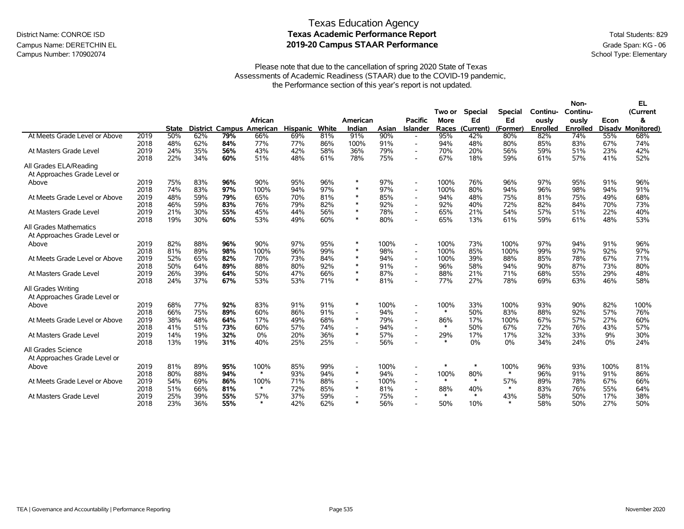# Campus Number: 170902074 School Type: Elementary

### Texas Education Agency District Name: CONROE ISD **Texas Academic Performance Report Texas Academic Performance Report** Total Students: 829 Campus Name: DERETCHIN EL **2019-20 Campus STAAR Performance** Grade Span: KG - 06

|                               |      |              |     |     |                          |                 |       |                          |       |                          |             |                |                |                 | Non-            |               | <b>EL</b>         |
|-------------------------------|------|--------------|-----|-----|--------------------------|-----------------|-------|--------------------------|-------|--------------------------|-------------|----------------|----------------|-----------------|-----------------|---------------|-------------------|
|                               |      |              |     |     |                          |                 |       |                          |       |                          | Two or      | <b>Special</b> | <b>Special</b> | Continu-        | Continu-        |               | (Current          |
|                               |      |              |     |     | African                  |                 |       | American                 |       | <b>Pacific</b>           | <b>More</b> | Ed             | Ed             | ously           | ously           | Econ          | &                 |
|                               |      | <b>State</b> |     |     | District Campus American | <b>Hispanic</b> | White | Indian                   | Asian | <b>Islander</b>          | Races       | Current)       | (Former)       | <b>Enrolled</b> | <b>Enrolled</b> | <b>Disadv</b> | <b>Monitored)</b> |
| At Meets Grade Level or Above | 2019 | 50%          | 62% | 79% | 66%                      | 69%             | 81%   | 91%                      | 90%   |                          | 95%         | 42%            | 80%            | 82%             | 74%             | 55%           | 68%               |
|                               | 2018 | 48%          | 62% | 84% | 77%                      | 77%             | 86%   | 100%                     | 91%   | $\blacksquare$           | 94%         | 48%            | 80%            | 85%             | 83%             | 67%           | 74%               |
| At Masters Grade Level        | 2019 | 24%          | 35% | 56% | 43%                      | 42%             | 58%   | 36%                      | 79%   | $\overline{\phantom{a}}$ | 70%         | 20%            | 56%            | 59%             | 51%             | 23%           | 42%               |
|                               | 2018 | 22%          | 34% | 60% | 51%                      | 48%             | 61%   | 78%                      | 75%   |                          | 67%         | 18%            | 59%            | 61%             | 57%             | 41%           | 52%               |
| All Grades ELA/Reading        |      |              |     |     |                          |                 |       |                          |       |                          |             |                |                |                 |                 |               |                   |
| At Approaches Grade Level or  |      |              |     |     |                          |                 |       |                          |       |                          |             |                |                |                 |                 |               |                   |
| Above                         | 2019 | 75%          | 83% | 96% | 90%                      | 95%             | 96%   | $\ast$                   | 97%   | $\overline{\phantom{a}}$ | 100%        | 76%            | 96%            | 97%             | 95%             | 91%           | 96%               |
|                               | 2018 | 74%          | 83% | 97% | 100%                     | 94%             | 97%   | $\ast$                   | 97%   | $\blacksquare$           | 100%        | 80%            | 94%            | 96%             | 98%             | 94%           | 91%               |
| At Meets Grade Level or Above | 2019 | 48%          | 59% | 79% | 65%                      | 70%             | 81%   | $\ast$                   | 85%   | $\overline{\phantom{a}}$ | 94%         | 48%            | 75%            | 81%             | 75%             | 49%           | 68%               |
|                               | 2018 | 46%          | 59% | 83% | 76%                      | 79%             | 82%   | $\ast$                   | 92%   | $\overline{\phantom{a}}$ | 92%         | 40%            | 72%            | 82%             | 84%             | 70%           | 73%               |
| At Masters Grade Level        | 2019 | 21%          | 30% | 55% | 45%                      | 44%             | 56%   |                          | 78%   | $\overline{\phantom{a}}$ | 65%         | 21%            | 54%            | 57%             | 51%             | 22%           | 40%               |
|                               | 2018 | 19%          | 30% | 60% | 53%                      | 49%             | 60%   | $\ast$                   | 80%   |                          | 65%         | 13%            | 61%            | 59%             | 61%             | 48%           | 53%               |
| All Grades Mathematics        |      |              |     |     |                          |                 |       |                          |       |                          |             |                |                |                 |                 |               |                   |
| At Approaches Grade Level or  |      |              |     |     |                          |                 |       |                          |       |                          |             |                |                |                 |                 |               |                   |
| Above                         | 2019 | 82%          | 88% | 96% | 90%                      | 97%             | 95%   | $\ast$                   | 100%  | $\overline{\phantom{a}}$ | 100%        | 73%            | 100%           | 97%             | 94%             | 91%           | 96%               |
|                               | 2018 | 81%          | 89% | 98% | 100%                     | 96%             | 99%   | $\ast$                   | 98%   | $\overline{\phantom{a}}$ | 100%        | 85%            | 100%           | 99%             | 97%             | 92%           | 97%               |
| At Meets Grade Level or Above | 2019 | 52%          | 65% | 82% | 70%                      | 73%             | 84%   | $\ast$                   | 94%   | $\overline{\phantom{a}}$ | 100%        | 39%            | 88%            | 85%             | 78%             | 67%           | 71%               |
|                               | 2018 | 50%          | 64% | 89% | 88%                      | 80%             | 92%   | $\ast$                   | 91%   | $\overline{\phantom{a}}$ | 96%         | 58%            | 94%            | 90%             | 87%             | 73%           | 80%               |
| At Masters Grade Level        | 2019 | 26%          | 39% | 64% | 50%                      | 47%             | 66%   | $\ast$                   | 87%   |                          | 88%         | 21%            | 71%            | 68%             | 55%             | 29%           | 48%               |
|                               | 2018 | 24%          | 37% | 67% | 53%                      | 53%             | 71%   | $\ast$                   | 81%   |                          | 77%         | 27%            | 78%            | 69%             | 63%             | 46%           | 58%               |
| All Grades Writing            |      |              |     |     |                          |                 |       |                          |       |                          |             |                |                |                 |                 |               |                   |
| At Approaches Grade Level or  |      |              |     |     |                          |                 |       |                          |       |                          |             |                |                |                 |                 |               |                   |
| Above                         | 2019 | 68%          | 77% | 92% | 83%                      | 91%             | 91%   | $\ast$                   | 100%  | $\overline{\phantom{a}}$ | 100%        | 33%            | 100%           | 93%             | 90%             | 82%           | 100%              |
|                               | 2018 | 66%          | 75% | 89% | 60%                      | 86%             | 91%   | $\overline{\phantom{a}}$ | 94%   | $\overline{\phantom{a}}$ | $\ast$      | 50%            | 83%            | 88%             | 92%             | 57%           | 76%               |
| At Meets Grade Level or Above | 2019 | 38%          | 48% | 64% | 17%                      | 49%             | 68%   | $\ast$                   | 79%   | $\overline{\phantom{a}}$ | 86%         | 17%            | 100%           | 67%             | 57%             | 27%           | 60%               |
|                               | 2018 | 41%          | 51% | 73% | 60%                      | 57%             | 74%   |                          | 94%   | $\overline{\phantom{a}}$ | $\ast$      | 50%            | 67%            | 72%             | 76%             | 43%           | 57%               |
| At Masters Grade Level        | 2019 | 14%          | 19% | 32% | 0%                       | 20%             | 36%   | $\ast$                   | 57%   | $\overline{\phantom{a}}$ | 29%         | 17%            | 17%            | 32%             | 33%             | 9%            | 30%               |
|                               | 2018 | 13%          | 19% | 31% | 40%                      | 25%             | 25%   |                          | 56%   |                          | $\ast$      | 0%             | 0%             | 34%             | 24%             | 0%            | 24%               |
| All Grades Science            |      |              |     |     |                          |                 |       |                          |       |                          |             |                |                |                 |                 |               |                   |
| At Approaches Grade Level or  |      |              |     |     |                          |                 |       |                          |       |                          |             |                |                |                 |                 |               |                   |
| Above                         | 2019 | 81%          | 89% | 95% | 100%                     | 85%             | 99%   | $\overline{\phantom{a}}$ | 100%  | $\overline{\phantom{a}}$ | $\ast$      | $\ast$         | 100%           | 96%             | 93%             | 100%          | 81%               |
|                               | 2018 | 80%          | 88% | 94% | $\ast$                   | 93%             | 94%   | $\ast$                   | 94%   | $\overline{\phantom{a}}$ | 100%        | 80%            | $\ast$         | 96%             | 91%             | 91%           | 86%               |
| At Meets Grade Level or Above | 2019 | 54%          | 69% | 86% | 100%                     | 71%             | 88%   | $\blacksquare$           | 100%  | $\overline{\phantom{a}}$ | $\ast$      | $\ast$         | 57%            | 89%             | 78%             | 67%           | 66%               |
|                               | 2018 | 51%          | 66% | 81% | $\ast$                   | 72%             | 85%   | $\ast$                   | 81%   | $\overline{\phantom{a}}$ | 88%         | 40%            | $\ast$         | 83%             | 76%             | 55%           | 64%               |
| At Masters Grade Level        | 2019 | 25%          | 39% | 55% | 57%                      | 37%             | 59%   |                          | 75%   |                          | $\ast$      | $\ast$         | 43%            | 58%             | 50%             | 17%           | 38%               |
|                               | 2018 | 23%          | 36% | 55% | $\ast$                   | 42%             | 62%   | $\ast$                   | 56%   |                          | 50%         | 10%            | $\ast$         | 58%             | 50%             | 27%           | 50%               |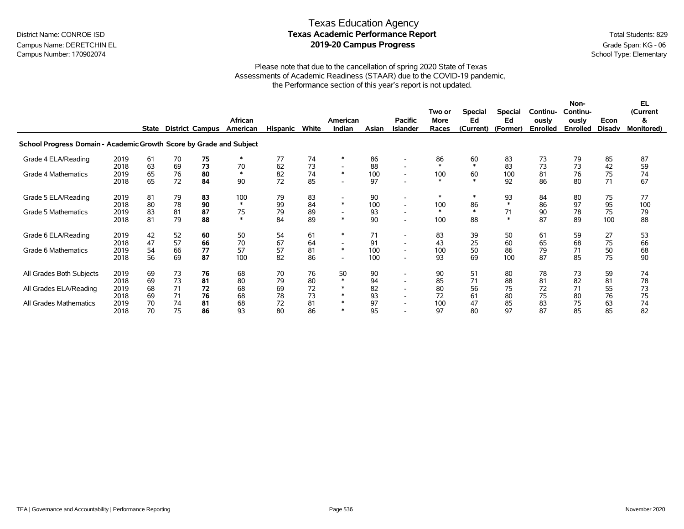### Texas Education Agency District Name: CONROE ISD **Texas Academic Performance Report Texas Academic Performance Report** Total Students: 829 Campus Name: DERETCHIN EL **Campus Progress** Campus Progress Campus Progress Campus Progress Crade Span: KG - 06

|                                                                     |              | <b>State</b> |          | <b>District Campus</b> | African<br>American | <b>Hispanic</b> | White    | American<br>Indian                 | Asian      | <b>Pacific</b><br><b>Islander</b>                    | Two or<br><b>More</b><br>Races | <b>Special</b><br>Ed<br>(Current) | <b>Special</b><br>Ed<br>(Former) | Continu-<br>ously<br><b>Enrolled</b> | Non-<br>-continu<br>ously<br>Enrolled | Econ<br>Disadv | EL<br>(Current<br>&<br><b>Monitored</b> ) |
|---------------------------------------------------------------------|--------------|--------------|----------|------------------------|---------------------|-----------------|----------|------------------------------------|------------|------------------------------------------------------|--------------------------------|-----------------------------------|----------------------------------|--------------------------------------|---------------------------------------|----------------|-------------------------------------------|
| School Progress Domain - Academic Growth Score by Grade and Subject |              |              |          |                        |                     |                 |          |                                    |            |                                                      |                                |                                   |                                  |                                      |                                       |                |                                           |
| Grade 4 ELA/Reading                                                 | 2019<br>2018 | 61<br>63     | 70<br>69 | 75<br>73               | ∗<br>70             | 77<br>62        | 74<br>73 | $\ast$<br>$\overline{\phantom{a}}$ | 86<br>88   | $\overline{\phantom{a}}$<br>$\overline{\phantom{a}}$ | 86<br>$\ast$                   | 60<br>$\ast$                      | 83<br>83                         | 73<br>73                             | 79<br>73                              | 85<br>42       | 87<br>59                                  |
| Grade 4 Mathematics                                                 | 2019<br>2018 | 65<br>65     | 76<br>72 | 80<br>84               | $\ast$<br>90        | 82<br>72        | 74<br>85 | $\ast$<br>$\overline{\phantom{a}}$ | 100<br>97  | $\overline{\phantom{a}}$                             | 100<br>$\ast$                  | 60<br>$\ast$                      | 100<br>92                        | 81<br>86                             | 76<br>80                              | 75<br>71       | 74<br>67                                  |
| Grade 5 ELA/Reading                                                 | 2019<br>2018 | 81<br>80     | 79<br>78 | 83<br>90               | 100<br>$\ast$       | 79<br>99        | 83<br>84 | $\ast$                             | 90<br>100  | $\overline{\phantom{0}}$<br>$\overline{\phantom{a}}$ | 100                            | ∗<br>86                           | 93<br>$\ast$                     | 84<br>86                             | 80<br>97                              | 75<br>95       | 77<br>100                                 |
| Grade 5 Mathematics                                                 | 2019<br>2018 | 83<br>81     | 81<br>79 | 87<br>88               | 75<br>$\ast$        | 79<br>84        | 89<br>89 | $\overline{\phantom{a}}$<br>$\ast$ | 93<br>90   | $\overline{\phantom{a}}$                             | $\ast$<br>100                  | $\ast$<br>88                      | 71<br>$\ast$                     | 90<br>87                             | 78<br>89                              | 75<br>100      | 79<br>88                                  |
| Grade 6 ELA/Reading                                                 | 2019<br>2018 | 42<br>47     | 52<br>57 | 60<br>66               | 50<br>70            | 54<br>67        | 61<br>64 | $\ast$<br>$\overline{\phantom{a}}$ | 71<br>91   | $\overline{\phantom{a}}$<br>$\overline{\phantom{a}}$ | 83<br>43                       | 39<br>25                          | 50<br>60                         | 61<br>65                             | 59<br>68                              | 27<br>75       | 53<br>66                                  |
| Grade 6 Mathematics                                                 | 2019<br>2018 | 54<br>56     | 66<br>69 | 77<br>87               | 57<br>100           | 57<br>82        | 81<br>86 | $\ast$<br>$\overline{\phantom{a}}$ | 100<br>100 | $\overline{\phantom{a}}$<br>$\overline{\phantom{a}}$ | 100<br>93                      | 50<br>69                          | 86<br>100                        | 79<br>87                             | 71<br>85                              | 50<br>75       | 68<br>90                                  |
| All Grades Both Subjects                                            | 2019<br>2018 | 69<br>69     | 73<br>73 | 76<br>81               | 68<br>80            | 70<br>79        | 76<br>80 | 50                                 | 90<br>94   | $\overline{\phantom{a}}$<br>$\overline{\phantom{a}}$ | 90<br>85                       | 51<br>71                          | 80<br>88                         | 78<br>81                             | 73<br>82                              | 59<br>81       | 74<br>78                                  |
| All Grades ELA/Reading                                              | 2019<br>2018 | 68<br>69     | 71<br>71 | 72<br>76               | 68<br>68            | 69<br>78        | 72<br>73 | $\ast$                             | 82<br>93   | $\overline{\phantom{a}}$<br>$\overline{\phantom{a}}$ | 80<br>72                       | 56<br>61                          | 75<br>80                         | 72<br>75                             | 71<br>80                              | 55<br>76       | 73<br>75                                  |
| All Grades Mathematics                                              | 2019<br>2018 | 70<br>70     | 74<br>75 | 81<br>86               | 68<br>93            | 72<br>80        | 81<br>86 | $\ast$<br>$\ast$                   | 97<br>95   | $\overline{\phantom{a}}$                             | 100<br>97                      | 47<br>80                          | 85<br>97                         | 83<br>87                             | 75<br>85                              | 63<br>85       | 74<br>82                                  |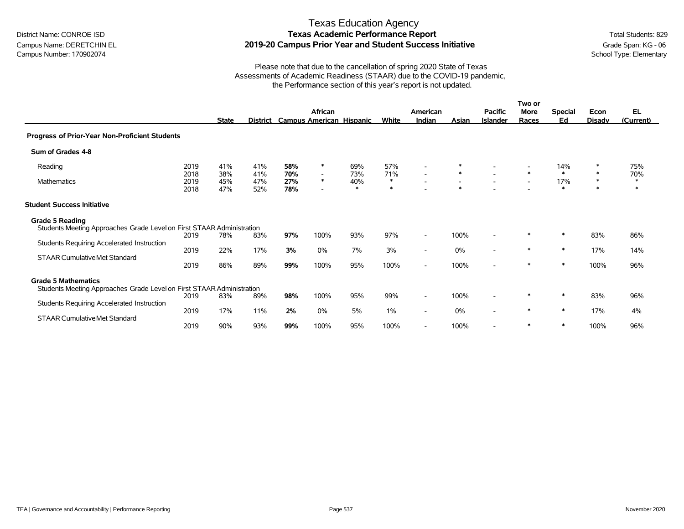# Campus Number: 170902074 School Type: Elementary

### Texas Education Agency District Name: CONROE ISD **Texas Academic Performance Report Texas Academic Performance Report** Total Students: 829 Campus Name: DERETCHIN EL **2019-20 Campus Prior Year and Student Success Initiative** Grade Span: KG - 06

|                                                                                                     |              | <b>State</b> | District   |            | African<br><b>Campus American Hispanic</b> |               | White            | American<br>Indian                                   | Asian                              | <b>Pacific</b><br><b>Islander</b> | Two or<br>More<br>Races            | <b>Special</b><br>Ed | Econ<br><b>Disadv</b> | <b>EL</b><br>(Current) |
|-----------------------------------------------------------------------------------------------------|--------------|--------------|------------|------------|--------------------------------------------|---------------|------------------|------------------------------------------------------|------------------------------------|-----------------------------------|------------------------------------|----------------------|-----------------------|------------------------|
| Progress of Prior-Year Non-Proficient Students                                                      |              |              |            |            |                                            |               |                  |                                                      |                                    |                                   |                                    |                      |                       |                        |
| Sum of Grades 4-8                                                                                   |              |              |            |            |                                            |               |                  |                                                      |                                    |                                   |                                    |                      |                       |                        |
| Reading                                                                                             | 2019<br>2018 | 41%<br>38%   | 41%<br>41% | 58%<br>70% | $\ast$<br>$\overline{\phantom{a}}$         | 69%<br>73%    | 57%<br>71%       | $\overline{\phantom{0}}$<br>$\overline{\phantom{a}}$ | *<br>$\ast$                        | $\overline{\phantom{a}}$          | $\overline{\phantom{a}}$<br>$\ast$ | 14%<br>$\ast$        | $\ast$                | 75%<br>70%             |
| <b>Mathematics</b>                                                                                  | 2019<br>2018 | 45%<br>47%   | 47%<br>52% | 27%<br>78% | $\ast$                                     | 40%<br>$\ast$ | $\ast$<br>$\ast$ | $\overline{\phantom{a}}$                             | $\overline{\phantom{a}}$<br>$\ast$ | $\overline{\phantom{a}}$          | $\overline{\phantom{a}}$           | 17%<br>$\ast$        | $\ast$<br>$\ast$      | ∗<br>$\ast$            |
| <b>Student Success Initiative</b>                                                                   |              |              |            |            |                                            |               |                  |                                                      |                                    |                                   |                                    |                      |                       |                        |
| <b>Grade 5 Reading</b><br>Students Meeting Approaches Grade Level on First STAAR Administration     | 2019         | 78%          | 83%        | 97%        | 100%                                       | 93%           | 97%              | $\overline{\phantom{a}}$                             | 100%                               | $\overline{\phantom{a}}$          | $\ast$                             | $\ast$               | 83%                   | 86%                    |
| Students Requiring Accelerated Instruction                                                          | 2019         | 22%          | 17%        | 3%         | 0%                                         | 7%            | 3%               | $\sim$                                               | 0%                                 | $\overline{\phantom{a}}$          | ∗                                  | $\ast$               | 17%                   | 14%                    |
| <b>STAAR Cumulative Met Standard</b>                                                                | 2019         | 86%          | 89%        | 99%        | 100%                                       | 95%           | 100%             | $\overline{\phantom{a}}$                             | 100%                               |                                   | $\ast$                             | $\ast$               | 100%                  | 96%                    |
| <b>Grade 5 Mathematics</b><br>Students Meeting Approaches Grade Level on First STAAR Administration | 2019         | 83%          | 89%        | 98%        | 100%                                       | 95%           | 99%              | $\overline{\phantom{a}}$                             | 100%                               | $\overline{\phantom{a}}$          | $\ast$                             | $\ast$               | 83%                   | 96%                    |
| Students Requiring Accelerated Instruction                                                          | 2019         | 17%          | 11%        | 2%         | 0%                                         | 5%            | 1%               | $\overline{\phantom{a}}$                             | 0%                                 | $\overline{\phantom{a}}$          | $\ast$                             | $\ast$               | 17%                   | 4%                     |
| <b>STAAR Cumulative Met Standard</b>                                                                | 2019         | 90%          | 93%        | 99%        | 100%                                       | 95%           | 100%             | $\overline{\phantom{a}}$                             | 100%                               | $\overline{\phantom{a}}$          | $\ast$                             | $\ast$               | 100%                  | 96%                    |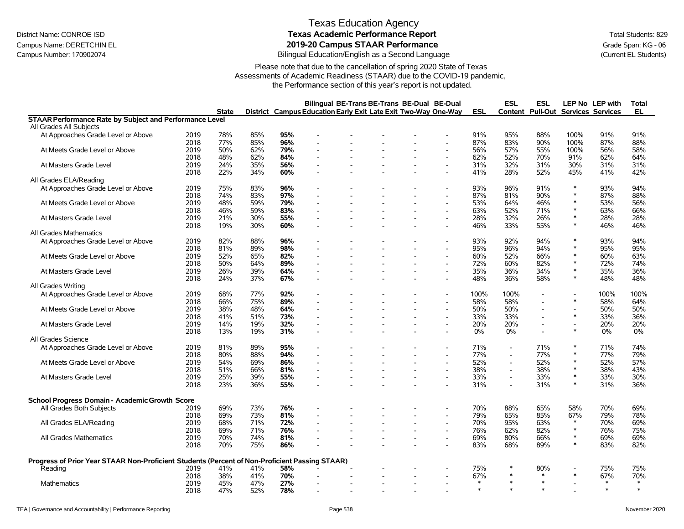### Texas Education Agency

#### District Name: CONROE ISD **Texas Academic Performance Report Texas Academic Performance Report** Total Students: 829 Campus Name: DERETCHIN EL **2019-20 Campus STAAR Performance** Grade Span: KG - 06

Campus Number: 170902074 Campus Number: 170902074 Current EL Students)

|                                                                                                |              |              |     |            |                                                                | Bilingual BE-Trans BE-Trans BE-Dual BE-Dual |                          |                          |                          |            | <b>ESL</b> | <b>ESL</b>               |                | <b>LEP No LEP with</b>   | <b>Total</b> |
|------------------------------------------------------------------------------------------------|--------------|--------------|-----|------------|----------------------------------------------------------------|---------------------------------------------|--------------------------|--------------------------|--------------------------|------------|------------|--------------------------|----------------|--------------------------|--------------|
|                                                                                                |              | <b>State</b> |     |            | District Campus Education Early Exit Late Exit Two-Way One-Way |                                             |                          |                          |                          | <b>ESL</b> | Content    | <b>Pull-Out</b>          |                | <b>Services Services</b> | EL           |
| <b>STAAR Performance Rate by Subject and Performance Level</b><br>All Grades All Subjects      |              |              |     |            |                                                                |                                             |                          |                          |                          |            |            |                          |                |                          |              |
| At Approaches Grade Level or Above                                                             | 2019         | 78%          | 85% | 95%        |                                                                |                                             |                          |                          |                          | 91%        | 95%        | 88%                      | 100%           | 91%                      | 91%          |
|                                                                                                | 2018         | 77%          | 85% | 96%        |                                                                |                                             |                          |                          |                          | 87%        | 83%        | 90%                      | 100%           | 87%                      | 88%          |
| At Meets Grade Level or Above                                                                  | 2019         | 50%          | 62% | 79%        | $\blacksquare$                                                 |                                             |                          |                          |                          | 56%        | 57%        | 55%                      | 100%           | 56%                      | 58%          |
|                                                                                                | 2018         | 48%          | 62% | 84%        |                                                                |                                             |                          |                          |                          | 62%        | 52%        | 70%                      | 91%            | 62%                      | 64%          |
| At Masters Grade Level                                                                         | 2019         | 24%          | 35% | 56%        | $\overline{\phantom{a}}$                                       |                                             | $\overline{\phantom{a}}$ | $\overline{\phantom{a}}$ | $\overline{\phantom{a}}$ | 31%        | 32%        | 31%                      | 30%            | 31%                      | 31%          |
|                                                                                                | 2018         | 22%          | 34% | 60%        |                                                                |                                             |                          |                          |                          | 41%        | 28%        | 52%                      | 45%            | 41%                      | 42%          |
| All Grades ELA/Reading                                                                         |              |              |     |            |                                                                |                                             |                          |                          |                          |            |            |                          |                |                          |              |
| At Approaches Grade Level or Above                                                             | 2019         | 75%          | 83% | 96%        |                                                                |                                             |                          |                          |                          | 93%        | 96%        | 91%                      | $\ast$         | 93%                      | 94%          |
|                                                                                                | 2018         | 74%          | 83% | 97%        |                                                                |                                             |                          |                          |                          | 87%        | 81%        | 90%                      | $\ast$         | 87%                      | 88%          |
| At Meets Grade Level or Above                                                                  | 2019         | 48%          | 59% | 79%        | $\overline{a}$                                                 |                                             |                          |                          |                          | 53%        | 64%        | 46%                      | $\ast$         | 53%                      | 56%          |
|                                                                                                | 2018         | 46%          | 59% | 83%        |                                                                |                                             |                          |                          |                          | 63%        | 52%        | 71%                      | $\ast$         | 63%                      | 66%          |
| At Masters Grade Level                                                                         | 2019         | 21%          | 30% | 55%        |                                                                |                                             | $\blacksquare$           | $\overline{a}$           | $\blacksquare$           | 28%        | 32%        | 26%                      | $\ast$         | 28%                      | 28%          |
|                                                                                                | 2018         | 19%          | 30% | 60%        |                                                                |                                             |                          |                          |                          | 46%        | 33%        | 55%                      | $\ast$         | 46%                      | 46%          |
| All Grades Mathematics                                                                         |              |              |     |            |                                                                |                                             |                          |                          |                          |            |            |                          |                |                          |              |
| At Approaches Grade Level or Above                                                             | 2019         | 82%          | 88% | 96%        |                                                                |                                             |                          |                          |                          | 93%        | 92%        | 94%                      | $\ast$         | 93%                      | 94%          |
|                                                                                                | 2018         | 81%          | 89% | 98%        |                                                                |                                             |                          |                          |                          | 95%        | 96%        | 94%                      | $\ast$         | 95%                      | 95%          |
| At Meets Grade Level or Above                                                                  | 2019         | 52%          | 65% | 82%        |                                                                |                                             |                          |                          |                          | 60%        | 52%        | 66%                      | $\ast$         | 60%                      | 63%          |
|                                                                                                | 2018         | 50%          | 64% | 89%        |                                                                |                                             |                          |                          |                          | 72%        | 60%        | 82%                      | $\ast$         | 72%                      | 74%          |
|                                                                                                |              |              | 39% |            |                                                                |                                             |                          |                          |                          | 35%        | 36%        | 34%                      | $\ast$         | 35%                      |              |
| At Masters Grade Level                                                                         | 2019<br>2018 | 26%<br>24%   | 37% | 64%<br>67% |                                                                |                                             | $\overline{\phantom{a}}$ |                          | $\blacksquare$           | 48%        | 36%        | 58%                      | $\ast$         | 48%                      | 36%<br>48%   |
| All Grades Writing                                                                             |              |              |     |            |                                                                |                                             |                          |                          |                          |            |            |                          |                |                          |              |
|                                                                                                |              |              |     |            |                                                                |                                             |                          |                          |                          |            |            |                          |                |                          |              |
| At Approaches Grade Level or Above                                                             | 2019         | 68%          | 77% | 92%        |                                                                |                                             |                          |                          |                          | 100%       | 100%       | $\overline{\phantom{a}}$ | $\ast$         | 100%                     | 100%         |
|                                                                                                | 2018         | 66%          | 75% | 89%        | $\overline{a}$                                                 |                                             |                          |                          |                          | 58%        | 58%        | $\overline{a}$           |                | 58%                      | 64%          |
| At Meets Grade Level or Above                                                                  | 2019         | 38%          | 48% | 64%        |                                                                |                                             |                          |                          |                          | 50%        | 50%        |                          |                | 50%                      | 50%          |
|                                                                                                | 2018         | 41%          | 51% | 73%        |                                                                |                                             |                          |                          |                          | 33%        | 33%        |                          | $\ast$         | 33%                      | 36%          |
| At Masters Grade Level                                                                         | 2019         | 14%          | 19% | 32%        |                                                                |                                             |                          |                          |                          | 20%        | 20%        | $\overline{\phantom{a}}$ | $\blacksquare$ | 20%                      | 20%          |
|                                                                                                | 2018         | 13%          | 19% | 31%        |                                                                |                                             |                          |                          |                          | $0\%$      | $0\%$      |                          | $\ast$         | 0%                       | 0%           |
| All Grades Science                                                                             |              |              |     |            |                                                                |                                             |                          |                          |                          |            |            |                          |                |                          |              |
| At Approaches Grade Level or Above                                                             | 2019         | 81%          | 89% | 95%        |                                                                |                                             |                          |                          |                          | 71%        |            | 71%                      | $\ast$         | 71%                      | 74%          |
|                                                                                                | 2018         | 80%          | 88% | 94%        |                                                                |                                             |                          |                          | $\overline{\phantom{a}}$ | 77%        |            | 77%                      | $\ast$         | 77%                      | 79%          |
| At Meets Grade Level or Above                                                                  | 2019         | 54%          | 69% | 86%        |                                                                |                                             |                          |                          |                          | 52%        |            | 52%                      | $\ast$         | 52%                      | 57%          |
|                                                                                                | 2018         | 51%          | 66% | 81%        |                                                                |                                             |                          |                          |                          | 38%        |            | 38%                      | $\ast$         | 38%                      | 43%          |
| At Masters Grade Level                                                                         | 2019         | 25%          | 39% | 55%        |                                                                |                                             |                          |                          |                          | 33%        |            | 33%                      | $\ast$         | 33%                      | 30%          |
|                                                                                                | 2018         | 23%          | 36% | 55%        |                                                                |                                             |                          |                          |                          | 31%        |            | 31%                      | $\ast$         | 31%                      | 36%          |
|                                                                                                |              |              |     |            |                                                                |                                             |                          |                          |                          |            |            |                          |                |                          |              |
| School Progress Domain - Academic Growth Score                                                 |              |              |     |            |                                                                |                                             |                          |                          |                          |            |            |                          |                |                          |              |
| All Grades Both Subjects                                                                       | 2019         | 69%          | 73% | 76%        |                                                                |                                             |                          |                          |                          | 70%        | 88%        | 65%                      | 58%            | 70%                      | 69%          |
|                                                                                                | 2018         | 69%          | 73% | 81%        |                                                                |                                             |                          |                          |                          | 79%        | 65%        | 85%                      | 67%            | 79%                      | 78%          |
| All Grades ELA/Reading                                                                         | 2019         | 68%          | 71% | 72%        |                                                                |                                             |                          |                          | $\blacksquare$           | 70%        | 95%        | 63%                      | $\ast$         | 70%                      | 69%          |
|                                                                                                | 2018         | 69%          | 71% | 76%        |                                                                |                                             |                          |                          |                          | 76%        | 62%        | 82%                      | $\ast$         | 76%                      | 75%          |
| All Grades Mathematics                                                                         | 2019         | 70%          | 74% | 81%        |                                                                |                                             |                          |                          |                          | 69%        | 80%        | 66%                      | $\ast$         | 69%                      | 69%          |
|                                                                                                | 2018         | 70%          | 75% | 86%        |                                                                |                                             |                          |                          |                          | 83%        | 68%        | 89%                      | $\ast$         | 83%                      | 82%          |
|                                                                                                |              |              |     |            |                                                                |                                             |                          |                          |                          |            |            |                          |                |                          |              |
| Progress of Prior Year STAAR Non-Proficient Students (Percent of Non-Proficient Passing STAAR) |              |              |     |            |                                                                |                                             |                          |                          |                          |            |            |                          |                |                          |              |
| Reading                                                                                        | 2019         | 41%          | 41% | 58%        |                                                                |                                             |                          |                          |                          | 75%        | $\ast$     | 80%                      |                | 75%                      | 75%          |
|                                                                                                | 2018         | 38%          | 41% | 70%        |                                                                |                                             |                          |                          |                          | 67%        | $\ast$     | $\ast$                   | $\ast$         | 67%                      | 70%          |
| Mathematics                                                                                    | 2019         | 45%          | 47% | 27%        |                                                                |                                             |                          |                          |                          | $\ast$     | $\ast$     | $\ast$                   |                | $\ast$                   | $\ast$       |
|                                                                                                | 2018         | 47%          | 52% | 78%        |                                                                |                                             |                          |                          |                          | $\ast$     | $\ast$     | $\ast$                   |                | $\ast$                   | $\ast$       |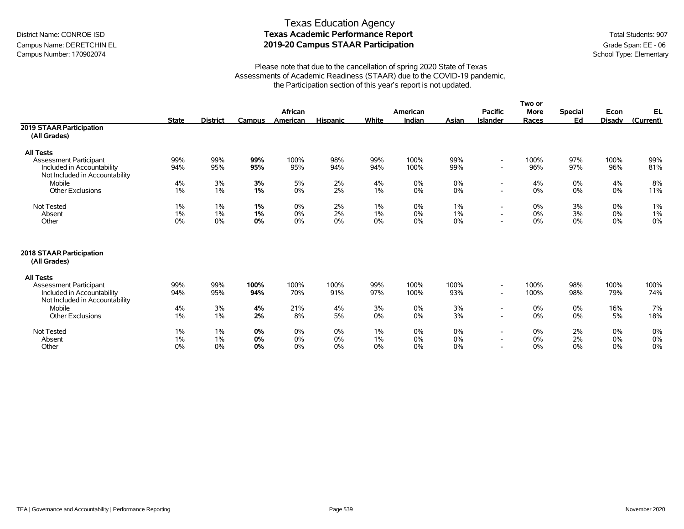### Texas Education Agency District Name: CONROE ISD **Texas Academic Performance Report Texas Academic Performance Report** Total Students: 907 Campus Name: DERETCHIN EL **2019-20 Campus STAAR Participation** Campus STAAR Participation

|                                                              |              |                 |               |          |                 |       |          |       |                          | Two or      |                |               |           |
|--------------------------------------------------------------|--------------|-----------------|---------------|----------|-----------------|-------|----------|-------|--------------------------|-------------|----------------|---------------|-----------|
|                                                              |              |                 |               | African  |                 |       | American |       | <b>Pacific</b>           | <b>More</b> | <b>Special</b> | Econ          | EL        |
|                                                              | <b>State</b> | <b>District</b> | <b>Campus</b> | American | <b>Hispanic</b> | White | Indian   | Asian | <b>Islander</b>          | Races       | Ed             | <b>Disadv</b> | (Current) |
| 2019 STAAR Participation                                     |              |                 |               |          |                 |       |          |       |                          |             |                |               |           |
| (All Grades)                                                 |              |                 |               |          |                 |       |          |       |                          |             |                |               |           |
| <b>All Tests</b>                                             |              |                 |               |          |                 |       |          |       |                          |             |                |               |           |
| <b>Assessment Participant</b>                                | 99%          | 99%             | 99%           | 100%     | 98%             | 99%   | 100%     | 99%   | $\overline{\phantom{a}}$ | 100%        | 97%            | 100%          | 99%       |
| Included in Accountability<br>Not Included in Accountability | 94%          | 95%             | 95%           | 95%      | 94%             | 94%   | 100%     | 99%   | $\overline{\phantom{a}}$ | 96%         | 97%            | 96%           | 81%       |
| Mobile                                                       | 4%           | 3%              | 3%            | 5%       | 2%              | 4%    | 0%       | 0%    |                          | 4%          | 0%             | 4%            | 8%        |
| <b>Other Exclusions</b>                                      | 1%           | 1%              | 1%            | 0%       | 2%              | 1%    | 0%       | 0%    | ۰.                       | 0%          | 0%             | 0%            | 11%       |
| <b>Not Tested</b>                                            | 1%           | 1%              | 1%            | 0%       | 2%              | 1%    | 0%       | 1%    | $\overline{\phantom{0}}$ | 0%          | 3%             | 0%            | $1\%$     |
| Absent                                                       | 1%           | 1%              | 1%            | 0%       | 2%              | 1%    | 0%       | 1%    | $\overline{\phantom{a}}$ | 0%          | 3%             | 0%            | $1\%$     |
| Other                                                        | 0%           | $0\%$           | 0%            | 0%       | 0%              | 0%    | 0%       | 0%    |                          | 0%          | 0%             | 0%            | 0%        |
| 2018 STAAR Participation<br>(All Grades)                     |              |                 |               |          |                 |       |          |       |                          |             |                |               |           |
| <b>All Tests</b>                                             |              |                 |               |          |                 |       |          |       |                          |             |                |               |           |
| Assessment Participant                                       | 99%          | 99%             | 100%          | 100%     | 100%            | 99%   | 100%     | 100%  | $\overline{\phantom{a}}$ | 100%        | 98%            | 100%          | 100%      |
| Included in Accountability<br>Not Included in Accountability | 94%          | 95%             | 94%           | 70%      | 91%             | 97%   | 100%     | 93%   |                          | 100%        | 98%            | 79%           | 74%       |
| Mobile                                                       | 4%           | 3%              | 4%            | 21%      | 4%              | 3%    | 0%       | 3%    | $\overline{\phantom{0}}$ | 0%          | 0%             | 16%           | 7%        |
| <b>Other Exclusions</b>                                      | 1%           | 1%              | 2%            | 8%       | 5%              | $0\%$ | 0%       | 3%    | $\overline{\phantom{0}}$ | 0%          | 0%             | 5%            | 18%       |
| Not Tested                                                   | 1%           | 1%              | 0%            | 0%       | 0%              | $1\%$ | 0%       | 0%    | $\overline{\phantom{0}}$ | 0%          | 2%             | 0%            | 0%        |
| Absent                                                       | 1%           | 1%              | 0%            | 0%       | 0%              | 1%    | 0%       | 0%    | $\overline{\phantom{0}}$ | 0%          | 2%             | 0%            | $0\%$     |
| Other                                                        | 0%           | $0\%$           | 0%            | 0%       | 0%              | 0%    | 0%       | 0%    | $\overline{\phantom{0}}$ | 0%          | 0%             | 0%            | 0%        |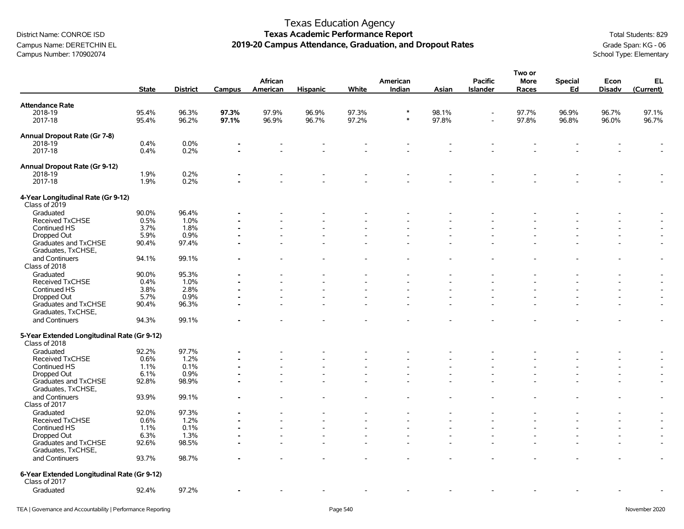## Campus Name: DERETCHIN EL **2019-20 Campus Attendance, Graduation, and Dropout Rates** Grampus Number: 170902074<br>Campus Number: 170902074<br>School Type: Elementary Campus Number: 170902074

## Texas Education Agency District Name: CONROE ISD **Texas Academic Performance Report Texas Academic Performance Report** Total Students: 829

**Two or**

|                                                              | <b>State</b> | <b>District</b> | Campus | African<br>American | <b>Hispanic</b> | White | American<br>Indian | Asian | <b>Pacific</b><br><b>Islander</b> | i wu ui<br><b>More</b><br>Races | <b>Special</b><br>Ed | Econ<br><b>Disadv</b> | EL<br>(Current)          |
|--------------------------------------------------------------|--------------|-----------------|--------|---------------------|-----------------|-------|--------------------|-------|-----------------------------------|---------------------------------|----------------------|-----------------------|--------------------------|
| <b>Attendance Rate</b>                                       |              |                 |        |                     |                 |       |                    |       |                                   |                                 |                      |                       |                          |
| 2018-19                                                      | 95.4%        | 96.3%           | 97.3%  | 97.9%               | 96.9%           | 97.3% | $\ast$             | 98.1% |                                   | 97.7%                           | 96.9%                | 96.7%                 | 97.1%                    |
| 2017-18                                                      | 95.4%        | 96.2%           | 97.1%  | 96.9%               | 96.7%           | 97.2% | $\ast$             | 97.8% | $\blacksquare$                    | 97.8%                           | 96.8%                | 96.0%                 | 96.7%                    |
| Annual Dropout Rate (Gr 7-8)                                 |              |                 |        |                     |                 |       |                    |       |                                   |                                 |                      |                       |                          |
| 2018-19                                                      | 0.4%         | 0.0%            |        |                     |                 |       |                    |       |                                   |                                 |                      |                       |                          |
| 2017-18                                                      | 0.4%         | 0.2%            |        |                     |                 |       |                    |       |                                   |                                 |                      |                       |                          |
| Annual Dropout Rate (Gr 9-12)                                |              |                 |        |                     |                 |       |                    |       |                                   |                                 |                      |                       |                          |
| 2018-19                                                      | 1.9%         | 0.2%            |        |                     |                 |       |                    |       |                                   |                                 |                      |                       |                          |
| 2017-18                                                      | 1.9%         | 0.2%            |        |                     |                 |       |                    |       |                                   |                                 |                      |                       |                          |
| 4-Year Longitudinal Rate (Gr 9-12)<br>Class of 2019          |              |                 |        |                     |                 |       |                    |       |                                   |                                 |                      |                       |                          |
| Graduated                                                    | 90.0%        | 96.4%           |        |                     |                 |       |                    |       |                                   |                                 |                      |                       |                          |
| Received TxCHSE                                              | 0.5%         | 1.0%            |        |                     |                 |       |                    |       |                                   |                                 |                      |                       |                          |
| Continued HS                                                 | 3.7%         | 1.8%            |        |                     |                 |       |                    |       |                                   |                                 |                      |                       |                          |
| Dropped Out                                                  | 5.9%         | 0.9%            |        |                     |                 |       |                    |       |                                   |                                 |                      |                       |                          |
| Graduates and TxCHSE<br>Graduates, TxCHSE,                   | 90.4%        | 97.4%           |        |                     |                 |       |                    |       |                                   |                                 |                      |                       |                          |
| and Continuers<br>Class of 2018                              | 94.1%        | 99.1%           |        |                     |                 |       |                    |       |                                   |                                 |                      |                       | $\blacksquare$           |
| Graduated                                                    | 90.0%        | 95.3%           |        |                     |                 |       |                    |       |                                   |                                 |                      |                       |                          |
| Received TxCHSE                                              | 0.4%         | 1.0%            |        |                     |                 |       |                    |       |                                   |                                 |                      |                       |                          |
| Continued HS                                                 | 3.8%         | 2.8%            |        |                     |                 |       |                    |       |                                   |                                 |                      |                       |                          |
| Dropped Out                                                  | 5.7%         | 0.9%            |        |                     |                 |       |                    |       |                                   |                                 |                      |                       |                          |
| Graduates and TxCHSE                                         | 90.4%        | 96.3%           |        |                     |                 |       |                    |       |                                   |                                 |                      |                       | $\overline{\phantom{a}}$ |
| Graduates, TxCHSE,                                           |              |                 |        |                     |                 |       |                    |       |                                   |                                 |                      |                       |                          |
| and Continuers                                               | 94.3%        | 99.1%           |        |                     |                 |       |                    |       |                                   |                                 |                      |                       |                          |
| 5-Year Extended Longitudinal Rate (Gr 9-12)<br>Class of 2018 |              |                 |        |                     |                 |       |                    |       |                                   |                                 |                      |                       |                          |
| Graduated                                                    | 92.2%        | 97.7%           |        |                     |                 |       |                    |       |                                   |                                 |                      |                       |                          |
| <b>Received TxCHSE</b>                                       | 0.6%         | 1.2%            |        |                     |                 |       |                    |       |                                   |                                 |                      |                       |                          |
| Continued HS                                                 | 1.1%         | 0.1%            |        |                     |                 |       |                    |       |                                   |                                 |                      |                       |                          |
| Dropped Out                                                  | 6.1%         | 0.9%            |        |                     |                 |       |                    |       |                                   |                                 |                      |                       | $\overline{\phantom{a}}$ |
| Graduates and TxCHSE<br>Graduates, TxCHSE,                   | 92.8%        | 98.9%           |        |                     |                 |       |                    |       |                                   |                                 |                      |                       | $\overline{\phantom{a}}$ |
| and Continuers<br>Class of 2017                              | 93.9%        | 99.1%           |        |                     |                 |       |                    |       |                                   |                                 |                      |                       | $\overline{\phantom{a}}$ |
| Graduated                                                    | 92.0%        | 97.3%           |        |                     |                 |       |                    |       |                                   |                                 |                      |                       | $\blacksquare$           |
| Received TxCHSE                                              | 0.6%         | 1.2%            |        |                     |                 |       |                    |       |                                   |                                 |                      |                       |                          |
|                                                              | 1.1%         | 0.1%            |        |                     |                 |       |                    |       |                                   |                                 |                      |                       | $\overline{\phantom{a}}$ |
| Continued HS                                                 |              |                 |        |                     |                 |       |                    |       |                                   |                                 |                      |                       |                          |
| Dropped Out                                                  | 6.3%         | 1.3%            |        |                     |                 |       |                    |       |                                   |                                 |                      |                       | $\overline{\phantom{a}}$ |
| Graduates and TxCHSE<br>Graduates, TxCHSE,                   | 92.6%        | 98.5%           |        |                     |                 |       |                    |       |                                   |                                 |                      |                       | $\overline{\phantom{a}}$ |
| and Continuers                                               | 93.7%        | 98.7%           |        |                     |                 |       |                    |       |                                   |                                 |                      |                       |                          |
| 6-Year Extended Longitudinal Rate (Gr 9-12)<br>Class of 2017 |              |                 |        |                     |                 |       |                    |       |                                   |                                 |                      |                       |                          |
| Graduated                                                    | 92.4%        | 97.2%           |        |                     |                 |       |                    |       |                                   |                                 |                      |                       |                          |
|                                                              |              |                 |        |                     |                 |       |                    |       |                                   |                                 |                      |                       |                          |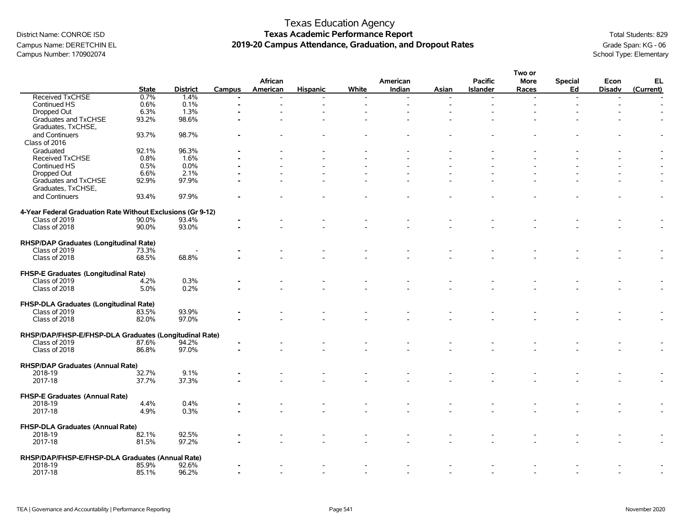# Campus Number: 170902074

## Texas Education Agency District Name: CONROE ISD **Texas Academic Performance Report Texas Academic Performance Report** Total Students: 829 Campus Name: DERETCHIN EL **2019-20 Campus Attendance, Graduation, and Dropout Rates** Grampus Number: 170902074<br>Campus Number: 170902074<br>School Type: Elementary

|                                                             |              |                 |        |          |                 |       |          |       |                 | Two or      |                          |               |           |
|-------------------------------------------------------------|--------------|-----------------|--------|----------|-----------------|-------|----------|-------|-----------------|-------------|--------------------------|---------------|-----------|
|                                                             |              |                 |        | African  |                 |       | American |       | Pacific         | <b>More</b> | <b>Special</b>           | Econ          | EL        |
|                                                             | <b>State</b> | <b>District</b> | Campus | American | <b>Hispanic</b> | White | Indian   | Asian | <b>Islander</b> | Races       | Ed                       | <b>Disadv</b> | (Current) |
| Received TxCHSE                                             | 0.7%         | 1.4%            |        |          |                 |       |          |       |                 |             | $\overline{\phantom{a}}$ |               |           |
| Continued HS                                                | 0.6%         | 0.1%            |        |          |                 |       |          |       |                 |             |                          |               |           |
| Dropped Out                                                 | 6.3%         | 1.3%            |        |          |                 |       |          |       |                 |             |                          |               |           |
| Graduates and TxCHSE                                        | 93.2%        | 98.6%           |        |          |                 |       |          |       |                 |             |                          |               |           |
| Graduates, TxCHSE,                                          |              |                 |        |          |                 |       |          |       |                 |             |                          |               |           |
| and Continuers                                              | 93.7%        | 98.7%           |        |          |                 |       |          |       |                 |             |                          |               |           |
| Class of 2016                                               |              |                 |        |          |                 |       |          |       |                 |             |                          |               |           |
| Graduated                                                   | 92.1%        | 96.3%           |        |          |                 |       |          |       |                 |             |                          |               |           |
| Received TxCHSE                                             | 0.8%         | 1.6%            |        |          |                 |       |          |       |                 |             |                          |               |           |
| Continued HS                                                | 0.5%         | 0.0%            |        |          |                 |       |          |       |                 |             |                          |               |           |
| Dropped Out                                                 | 6.6%         | 2.1%            |        |          |                 |       |          |       |                 |             |                          |               |           |
| Graduates and TxCHSE                                        | 92.9%        | 97.9%           |        |          |                 |       |          |       |                 |             |                          |               |           |
|                                                             |              |                 |        |          |                 |       |          |       |                 |             |                          |               |           |
| Graduates, TxCHSE,                                          |              |                 |        |          |                 |       |          |       |                 |             |                          |               |           |
| and Continuers                                              | 93.4%        | 97.9%           |        |          |                 |       |          |       |                 |             |                          |               |           |
|                                                             |              |                 |        |          |                 |       |          |       |                 |             |                          |               |           |
| 4-Year Federal Graduation Rate Without Exclusions (Gr 9-12) |              |                 |        |          |                 |       |          |       |                 |             |                          |               |           |
| Class of 2019                                               | 90.0%        | 93.4%           |        |          |                 |       |          |       |                 |             |                          |               |           |
| Class of 2018                                               | 90.0%        | 93.0%           |        |          |                 |       |          |       |                 |             |                          |               |           |
|                                                             |              |                 |        |          |                 |       |          |       |                 |             |                          |               |           |
| RHSP/DAP Graduates (Longitudinal Rate)                      |              |                 |        |          |                 |       |          |       |                 |             |                          |               |           |
| Class of 2019                                               | 73.3%        |                 |        |          |                 |       |          |       |                 |             |                          |               |           |
| Class of 2018                                               | 68.5%        | 68.8%           |        |          |                 |       |          |       |                 |             |                          |               |           |
|                                                             |              |                 |        |          |                 |       |          |       |                 |             |                          |               |           |
| FHSP-E Graduates (Longitudinal Rate)                        |              |                 |        |          |                 |       |          |       |                 |             |                          |               |           |
| Class of 2019                                               | 4.2%         | 0.3%            |        |          |                 |       |          |       |                 |             |                          |               |           |
| Class of 2018                                               | 5.0%         | 0.2%            |        |          |                 |       |          |       |                 |             |                          |               |           |
|                                                             |              |                 |        |          |                 |       |          |       |                 |             |                          |               |           |
| FHSP-DLA Graduates (Longitudinal Rate)                      |              |                 |        |          |                 |       |          |       |                 |             |                          |               |           |
| Class of 2019                                               | 83.5%        | 93.9%           |        |          |                 |       |          |       |                 |             |                          |               |           |
| Class of 2018                                               | 82.0%        | 97.0%           |        |          |                 |       |          |       |                 |             |                          |               |           |
|                                                             |              |                 |        |          |                 |       |          |       |                 |             |                          |               |           |
| RHSP/DAP/FHSP-E/FHSP-DLA Graduates (Longitudinal Rate)      |              |                 |        |          |                 |       |          |       |                 |             |                          |               |           |
| Class of 2019                                               | 87.6%        | 94.2%           |        |          |                 |       |          |       |                 |             |                          |               |           |
| Class of 2018                                               | 86.8%        | 97.0%           |        |          |                 |       |          |       |                 |             |                          |               |           |
|                                                             |              |                 |        |          |                 |       |          |       |                 |             |                          |               |           |
|                                                             |              |                 |        |          |                 |       |          |       |                 |             |                          |               |           |
| <b>RHSP/DAP Graduates (Annual Rate)</b>                     |              |                 |        |          |                 |       |          |       |                 |             |                          |               |           |
| 2018-19                                                     | 32.7%        | 9.1%            |        |          |                 |       |          |       |                 |             |                          |               |           |
| 2017-18                                                     | 37.7%        | 37.3%           |        |          |                 |       |          |       |                 |             |                          |               |           |
|                                                             |              |                 |        |          |                 |       |          |       |                 |             |                          |               |           |
| FHSP-E Graduates (Annual Rate)                              |              |                 |        |          |                 |       |          |       |                 |             |                          |               |           |
| 2018-19                                                     | 4.4%         | 0.4%            |        |          |                 |       |          |       |                 |             |                          |               |           |
| 2017-18                                                     | 4.9%         | 0.3%            |        |          |                 |       |          |       |                 |             |                          |               |           |
|                                                             |              |                 |        |          |                 |       |          |       |                 |             |                          |               |           |
| FHSP-DLA Graduates (Annual Rate)                            |              |                 |        |          |                 |       |          |       |                 |             |                          |               |           |
| 2018-19                                                     | 82.1%        | 92.5%           |        |          |                 |       |          |       |                 |             |                          |               |           |
| 2017-18                                                     | 81.5%        | 97.2%           |        |          |                 |       |          |       |                 |             |                          |               |           |
|                                                             |              |                 |        |          |                 |       |          |       |                 |             |                          |               |           |
| RHSP/DAP/FHSP-E/FHSP-DLA Graduates (Annual Rate)            |              |                 |        |          |                 |       |          |       |                 |             |                          |               |           |
| 2018-19                                                     | 85.9%        | 92.6%           |        |          |                 |       |          |       |                 |             |                          |               |           |
| 2017-18                                                     | 85.1%        | 96.2%           |        |          |                 |       |          |       |                 |             |                          |               |           |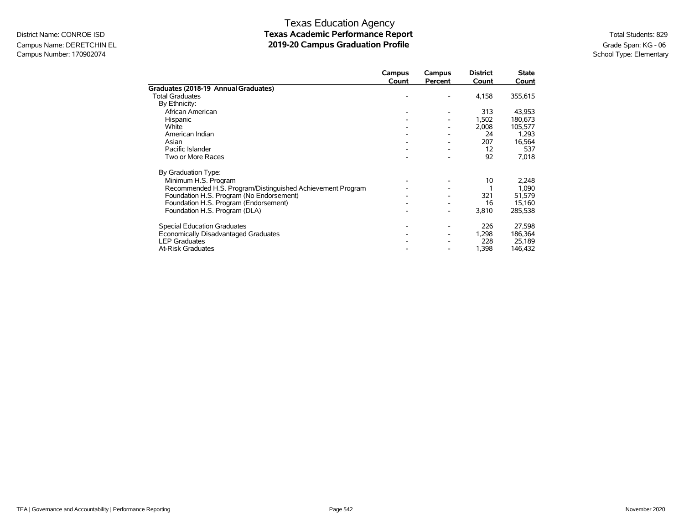## Campus Name: DERETCHIN EL **2019-20 Campus Graduation Profile** Grampus Graduation Profile<br>Campus Number: 170902074<br>School Type: Elementary Campus Number: 170902074

|                                                            | Campus<br>Count | Campus<br>Percent | <b>District</b><br>Count | <b>State</b><br>Count |
|------------------------------------------------------------|-----------------|-------------------|--------------------------|-----------------------|
| Graduates (2018-19 Annual Graduates)                       |                 |                   |                          |                       |
| <b>Total Graduates</b>                                     |                 |                   | 4,158                    | 355,615               |
| By Ethnicity:                                              |                 |                   |                          |                       |
| African American                                           |                 |                   | 313                      | 43,953                |
| Hispanic                                                   |                 |                   | 1,502                    | 180,673               |
| White                                                      |                 |                   | 2.008                    | 105,577               |
| American Indian                                            |                 |                   | 24                       | 1,293                 |
| Asian                                                      |                 |                   | 207                      | 16,564                |
| Pacific Islander                                           |                 |                   | 12                       | 537                   |
| Two or More Races                                          |                 |                   | 92                       | 7,018                 |
| By Graduation Type:                                        |                 |                   |                          |                       |
| Minimum H.S. Program                                       |                 |                   | 10                       | 2,248                 |
| Recommended H.S. Program/Distinguished Achievement Program |                 |                   |                          | 1,090                 |
| Foundation H.S. Program (No Endorsement)                   |                 |                   | 321                      | 51,579                |
| Foundation H.S. Program (Endorsement)                      |                 |                   | 16                       | 15,160                |
| Foundation H.S. Program (DLA)                              |                 |                   | 3,810                    | 285,538               |
| <b>Special Education Graduates</b>                         |                 |                   | 226                      | 27,598                |
| Economically Disadvantaged Graduates                       |                 |                   | 1,298                    | 186,364               |
| <b>LEP Graduates</b>                                       |                 |                   | 228                      | 25,189                |
| <b>At-Risk Graduates</b>                                   |                 |                   | 1,398                    | 146,432               |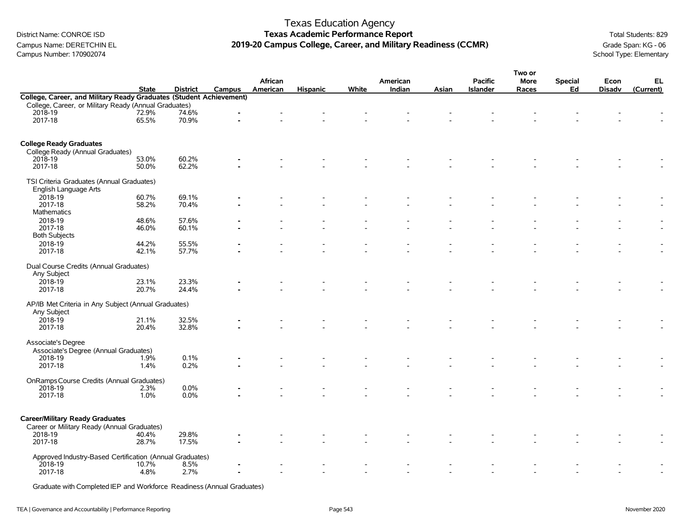Campus Number: 170902074

## Texas Education Agency District Name: CONROE ISD **Texas Academic Performance Report Texas Academic Performance Report** Total Students: 829 Campus Name: DERETCHIN EL **2019-20 Campus College, Career, and Military Readiness (CCMR)** Grade Span: KG - 06<br>Campus Number: 170902074<br>School Type: Elementary

|                                                                     |              |                 |               |          |                 |       |          |       |                 | Two or      |                |                          |                |
|---------------------------------------------------------------------|--------------|-----------------|---------------|----------|-----------------|-------|----------|-------|-----------------|-------------|----------------|--------------------------|----------------|
|                                                                     |              |                 |               | African  |                 |       | American |       | <b>Pacific</b>  | <b>More</b> | <b>Special</b> | Econ                     | EL             |
|                                                                     | <b>State</b> | <b>District</b> | <b>Campus</b> | American | <b>Hispanic</b> | White | Indian   | Asian | <b>Islander</b> | Races       | Ed             | <b>Disady</b>            | (Current)      |
| College, Career, and Military Ready Graduates (Student Achievement) |              |                 |               |          |                 |       |          |       |                 |             |                |                          |                |
| College, Career, or Military Ready (Annual Graduates)               |              |                 |               |          |                 |       |          |       |                 |             |                |                          |                |
| 2018-19                                                             | 72.9%        | 74.6%           |               |          |                 |       |          |       |                 |             |                |                          |                |
| 2017-18                                                             | 65.5%        | 70.9%           |               |          |                 |       |          |       |                 |             |                |                          |                |
| <b>College Ready Graduates</b>                                      |              |                 |               |          |                 |       |          |       |                 |             |                |                          |                |
| College Ready (Annual Graduates)                                    |              |                 |               |          |                 |       |          |       |                 |             |                |                          |                |
| 2018-19                                                             | 53.0%        | 60.2%           |               |          |                 |       |          |       |                 |             |                |                          |                |
| 2017-18                                                             | 50.0%        | 62.2%           |               |          |                 |       |          |       |                 |             |                |                          |                |
| TSI Criteria Graduates (Annual Graduates)<br>English Language Arts  |              |                 |               |          |                 |       |          |       |                 |             |                |                          |                |
| 2018-19                                                             | 60.7%        | 69.1%           |               |          |                 |       |          |       |                 |             |                |                          |                |
| 2017-18<br>Mathematics                                              | 58.2%        | 70.4%           |               |          |                 |       |          |       |                 |             |                |                          |                |
| 2018-19                                                             | 48.6%        | 57.6%           |               |          |                 |       |          |       |                 |             |                |                          |                |
| 2017-18                                                             | 46.0%        | 60.1%           |               |          |                 |       |          |       |                 |             |                |                          |                |
| <b>Both Subjects</b>                                                |              |                 |               |          |                 |       |          |       |                 |             |                |                          |                |
| 2018-19                                                             | 44.2%        | 55.5%           |               |          |                 |       |          |       |                 |             |                |                          |                |
| 2017-18                                                             | 42.1%        | 57.7%           |               |          |                 |       |          |       |                 |             |                |                          | $\overline{a}$ |
| Dual Course Credits (Annual Graduates)<br>Any Subject               |              |                 |               |          |                 |       |          |       |                 |             |                |                          |                |
| 2018-19                                                             | 23.1%        | 23.3%           |               |          |                 |       |          |       |                 |             |                |                          |                |
| 2017-18                                                             | 20.7%        | 24.4%           |               |          |                 |       |          |       |                 |             |                |                          |                |
| AP/IB Met Criteria in Any Subject (Annual Graduates)<br>Any Subject |              |                 |               |          |                 |       |          |       |                 |             |                |                          |                |
| 2018-19                                                             | 21.1%        | 32.5%           |               |          |                 |       |          |       |                 |             |                |                          |                |
| 2017-18                                                             | 20.4%        | 32.8%           |               |          |                 |       |          |       |                 |             |                |                          |                |
| Associate's Degree                                                  |              |                 |               |          |                 |       |          |       |                 |             |                |                          |                |
| Associate's Degree (Annual Graduates)                               |              |                 |               |          |                 |       |          |       |                 |             |                |                          |                |
| 2018-19                                                             | 1.9%         | 0.1%            |               |          |                 |       |          |       |                 |             |                |                          |                |
| 2017-18                                                             | 1.4%         | 0.2%            |               |          |                 |       |          |       |                 |             |                |                          |                |
| OnRamps Course Credits (Annual Graduates)                           |              |                 |               |          |                 |       |          |       |                 |             |                |                          |                |
| 2018-19                                                             | 2.3%         | 0.0%            |               |          |                 |       |          |       |                 |             |                |                          |                |
| 2017-18                                                             | 1.0%         | $0.0\%$         |               |          |                 |       |          |       |                 |             |                |                          |                |
| <b>Career/Military Ready Graduates</b>                              |              |                 |               |          |                 |       |          |       |                 |             |                |                          |                |
| Career or Military Ready (Annual Graduates)                         |              |                 |               |          |                 |       |          |       |                 |             |                |                          |                |
| 2018-19                                                             | 40.4%        | 29.8%           |               |          |                 |       |          |       |                 |             |                |                          |                |
| 2017-18                                                             | 28.7%        | 17.5%           |               |          |                 |       |          |       |                 |             |                |                          |                |
| Approved Industry-Based Certification (Annual Graduates)            |              |                 |               |          |                 |       |          |       |                 |             |                |                          |                |
| 2018-19                                                             | 10.7%        | 8.5%            |               |          |                 |       |          |       |                 |             |                |                          |                |
| 2017-18                                                             | 4.8%         | 2.7%            |               |          |                 |       |          |       |                 |             |                | $\overline{\phantom{a}}$ |                |

Graduate with Completed IEP and Workforce Readiness (Annual Graduates)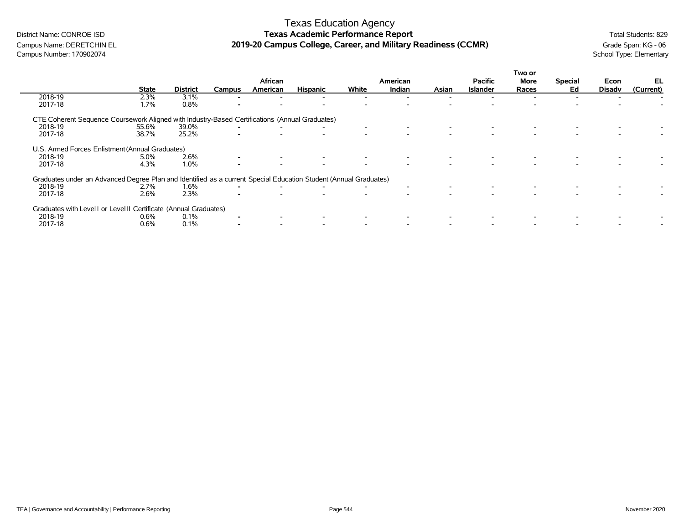# Campus Number: 170902074

## Texas Education Agency District Name: CONROE ISD **Texas Academic Performance Report Texas Academic Performance Report** Total Students: 829 Campus Name: DERETCHIN EL **2019-20 Campus College, Career, and Military Readiness (CCMR)** Grade Span: KG - 06<br>Campus Number: 170902074<br>School Type: Elementary

|                                                                                                                  |              |                 |                |                          |                          |                          |          |                          |                          | Two or                   |                          |                          |                          |
|------------------------------------------------------------------------------------------------------------------|--------------|-----------------|----------------|--------------------------|--------------------------|--------------------------|----------|--------------------------|--------------------------|--------------------------|--------------------------|--------------------------|--------------------------|
|                                                                                                                  |              |                 |                | African                  |                          |                          | American |                          | <b>Pacific</b>           | More                     | <b>Special</b>           | Econ                     | EL                       |
|                                                                                                                  | <b>State</b> | <b>District</b> | Campus         | American                 | <b>Hispanic</b>          | White                    | Indian   | Asian                    | <b>Islander</b>          | Races                    | Ed                       | <b>Disadv</b>            | (Current)                |
| 2018-19                                                                                                          | 2.3%         | $3.1\%$         | $\blacksquare$ | $\overline{\phantom{a}}$ | $\overline{\phantom{0}}$ | $\overline{\phantom{a}}$ |          | $\overline{\phantom{0}}$ | $\overline{\phantom{0}}$ |                          | $\overline{\phantom{a}}$ | $\overline{\phantom{a}}$ | $\overline{\phantom{0}}$ |
| 2017-18                                                                                                          | 1.7%         | 0.8%            |                |                          |                          |                          |          |                          |                          |                          |                          |                          |                          |
| CTE Coherent Sequence Coursework Aligned with Industry-Based Certifications (Annual Graduates)                   |              |                 |                |                          |                          |                          |          |                          |                          |                          |                          |                          |                          |
| 2018-19                                                                                                          | 55.6%        | 39.0%           | $\sim$         | $\overline{\phantom{a}}$ |                          |                          |          |                          |                          |                          |                          | $\overline{\phantom{a}}$ |                          |
| 2017-18                                                                                                          | 38.7%        | 25.2%           |                | $\sim$                   | $\sim$                   | $\overline{\phantom{a}}$ | $\sim$   | $\overline{\phantom{a}}$ | $\overline{a}$           | $\overline{\phantom{0}}$ | $\overline{\phantom{a}}$ | $\overline{\phantom{a}}$ |                          |
| U.S. Armed Forces Enlistment (Annual Graduates)                                                                  |              |                 |                |                          |                          |                          |          |                          |                          |                          |                          |                          |                          |
| 2018-19                                                                                                          | 5.0%         | 2.6%            | $\blacksquare$ |                          |                          |                          |          |                          |                          |                          |                          |                          |                          |
| 2017-18                                                                                                          | 4.3%         | 1.0%            |                |                          |                          |                          |          |                          |                          |                          |                          |                          |                          |
| Graduates under an Advanced Degree Plan and Identified as a current Special Education Student (Annual Graduates) |              |                 |                |                          |                          |                          |          |                          |                          |                          |                          |                          |                          |
| 2018-19                                                                                                          | 2.7%         | 1.6%            |                | $\overline{\phantom{a}}$ |                          |                          |          |                          |                          |                          |                          |                          |                          |
| 2017-18                                                                                                          | 2.6%         | 2.3%            |                |                          |                          |                          |          |                          |                          |                          |                          |                          |                          |
| Graduates with Level I or Level II Certificate (Annual Graduates)                                                |              |                 |                |                          |                          |                          |          |                          |                          |                          |                          |                          |                          |
| 2018-19                                                                                                          | 0.6%         | $0.1\%$         |                |                          |                          |                          |          |                          |                          |                          |                          |                          |                          |
|                                                                                                                  |              |                 |                |                          |                          |                          |          |                          |                          |                          |                          |                          |                          |
| 2017-18                                                                                                          | 0.6%         | 0.1%            |                |                          |                          |                          |          |                          |                          |                          |                          | -                        |                          |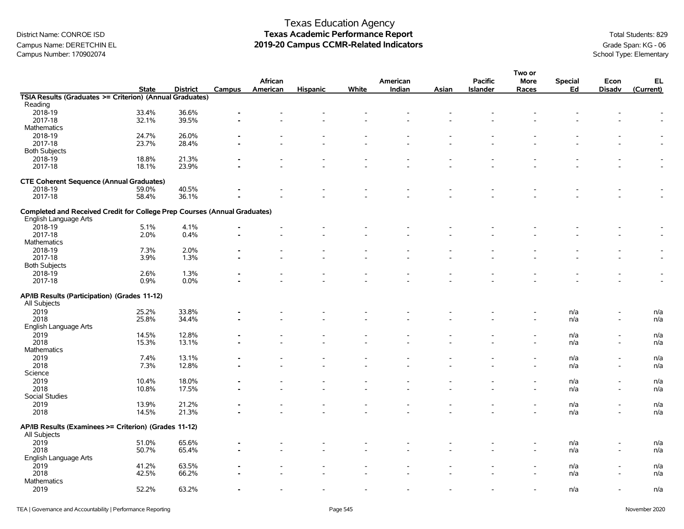## Campus Name: DERETCHIN EL **2019-20 Campus CCMR-Related Indicators** Grade Span: KG - 06<br>Campus Number: 170902074<br>School Type: Elementary Campus Number: 170902074

|                                                                           |              |                 |        |          |                 |       |          |       |                | Two or         |                |                          |                          |
|---------------------------------------------------------------------------|--------------|-----------------|--------|----------|-----------------|-------|----------|-------|----------------|----------------|----------------|--------------------------|--------------------------|
|                                                                           |              |                 |        | African  |                 |       | American |       | <b>Pacific</b> | <b>More</b>    | <b>Special</b> | Econ                     | EL                       |
|                                                                           | <b>State</b> | <b>District</b> | Campus | American | <b>Hispanic</b> | White | Indian   | Asian | Islander       | Races          | Ed             | <b>Disadv</b>            | (Current)                |
| TSIA Results (Graduates >= Criterion) (Annual Graduates)                  |              |                 |        |          |                 |       |          |       |                |                |                |                          |                          |
| Reading                                                                   |              |                 |        |          |                 |       |          |       |                |                |                |                          |                          |
| 2018-19                                                                   | 33.4%        | 36.6%           |        |          |                 |       |          |       |                |                |                |                          |                          |
| 2017-18                                                                   | 32.1%        | 39.5%           |        |          |                 |       |          |       |                |                |                |                          |                          |
| Mathematics                                                               |              |                 |        |          |                 |       |          |       |                |                |                |                          |                          |
| 2018-19                                                                   | 24.7%        | 26.0%           |        |          |                 |       |          |       |                |                |                |                          |                          |
| 2017-18                                                                   | 23.7%        | 28.4%           |        |          |                 |       |          |       |                |                |                |                          | $\overline{\phantom{a}}$ |
| <b>Both Subjects</b>                                                      |              |                 |        |          |                 |       |          |       |                |                |                |                          |                          |
| 2018-19                                                                   | 18.8%        | 21.3%           |        |          |                 |       |          |       |                |                |                |                          |                          |
| 2017-18                                                                   | 18.1%        | 23.9%           |        |          |                 |       |          |       |                |                |                |                          | $\overline{\phantom{a}}$ |
| <b>CTE Coherent Sequence (Annual Graduates)</b>                           |              |                 |        |          |                 |       |          |       |                |                |                |                          |                          |
| 2018-19                                                                   | 59.0%        | 40.5%           |        |          |                 |       |          |       |                |                |                |                          |                          |
| 2017-18                                                                   | 58.4%        | 36.1%           |        |          |                 |       |          |       |                |                |                |                          | $\overline{a}$           |
|                                                                           |              |                 |        |          |                 |       |          |       |                |                |                |                          |                          |
| Completed and Received Credit for College Prep Courses (Annual Graduates) |              |                 |        |          |                 |       |          |       |                |                |                |                          |                          |
| English Language Arts                                                     |              |                 |        |          |                 |       |          |       |                |                |                |                          |                          |
| 2018-19                                                                   | 5.1%         | 4.1%            |        |          |                 |       |          |       |                |                |                |                          |                          |
| 2017-18                                                                   | 2.0%         | 0.4%            |        |          |                 |       |          |       |                |                |                |                          | $\overline{\phantom{a}}$ |
| Mathematics                                                               |              |                 |        |          |                 |       |          |       |                |                |                |                          |                          |
| 2018-19                                                                   | 7.3%         | 2.0%            |        |          |                 |       |          |       |                |                |                |                          |                          |
| 2017-18                                                                   | 3.9%         | 1.3%            |        |          |                 |       |          |       |                |                |                |                          | $\overline{\phantom{a}}$ |
| <b>Both Subjects</b>                                                      |              |                 |        |          |                 |       |          |       |                |                |                |                          |                          |
| 2018-19                                                                   | 2.6%         | 1.3%            |        |          |                 |       |          |       |                |                |                |                          |                          |
| 2017-18                                                                   | 0.9%         | 0.0%            |        |          |                 |       |          |       |                |                |                |                          | $\blacksquare$           |
| AP/IB Results (Participation) (Grades 11-12)<br>All Subjects              |              |                 |        |          |                 |       |          |       |                |                |                |                          |                          |
| 2019                                                                      | 25.2%        | 33.8%           |        |          |                 |       |          |       |                |                | n/a            |                          | n/a                      |
| 2018                                                                      | 25.8%        | 34.4%           |        |          |                 |       |          |       |                |                | n/a            |                          | n/a                      |
| English Language Arts                                                     |              |                 |        |          |                 |       |          |       |                |                |                |                          |                          |
| 2019                                                                      | 14.5%        | 12.8%           |        |          |                 |       |          |       |                |                | n/a            | $\overline{\phantom{a}}$ | n/a                      |
| 2018                                                                      | 15.3%        | 13.1%           |        |          |                 |       |          |       |                |                | n/a            | $\blacksquare$           | n/a                      |
| Mathematics                                                               |              |                 |        |          |                 |       |          |       |                |                |                |                          |                          |
| 2019                                                                      | 7.4%         | 13.1%           |        |          |                 |       |          |       |                |                | n/a            |                          | n/a                      |
| 2018                                                                      | 7.3%         | 12.8%           |        |          |                 |       |          |       |                | $\overline{a}$ | n/a            | $\overline{\phantom{a}}$ | n/a                      |
| Science                                                                   |              |                 |        |          |                 |       |          |       |                |                |                |                          |                          |
| 2019                                                                      | 10.4%        | 18.0%           |        |          |                 |       |          |       |                |                | n/a            | $\overline{\phantom{a}}$ | n/a                      |
| 2018                                                                      | 10.8%        | 17.5%           |        |          |                 |       |          |       |                |                | n/a            | $\overline{\phantom{a}}$ | n/a                      |
| <b>Social Studies</b>                                                     |              |                 |        |          |                 |       |          |       |                |                |                |                          |                          |
| 2019                                                                      | 13.9%        | 21.2%           |        |          |                 |       |          |       |                |                | n/a            |                          | n/a                      |
| 2018                                                                      | 14.5%        | 21.3%           |        |          |                 |       |          |       |                |                | n/a            |                          | n/a                      |
|                                                                           |              |                 |        |          |                 |       |          |       |                |                |                |                          |                          |
| AP/IB Results (Examinees >= Criterion) (Grades 11-12)<br>All Subjects     |              |                 |        |          |                 |       |          |       |                |                |                |                          |                          |
| 2019                                                                      | 51.0%        | 65.6%           |        |          |                 |       |          |       |                |                | n/a            |                          | n/a                      |
| 2018                                                                      | 50.7%        | 65.4%           |        |          |                 |       |          |       |                |                | n/a            | $\overline{\phantom{a}}$ | n/a                      |
| English Language Arts                                                     |              |                 |        |          |                 |       |          |       |                |                |                |                          |                          |
| 2019                                                                      | 41.2%        | 63.5%           |        |          |                 |       |          |       |                |                | n/a            |                          | n/a                      |
| 2018                                                                      | 42.5%        | 66.2%           |        |          |                 |       |          |       |                |                | n/a            | $\overline{\phantom{a}}$ | n/a                      |
| Mathematics                                                               |              |                 |        |          |                 |       |          |       |                |                |                |                          |                          |
| 2019                                                                      | 52.2%        | 63.2%           |        |          |                 |       |          |       |                |                | n/a            |                          | n/a                      |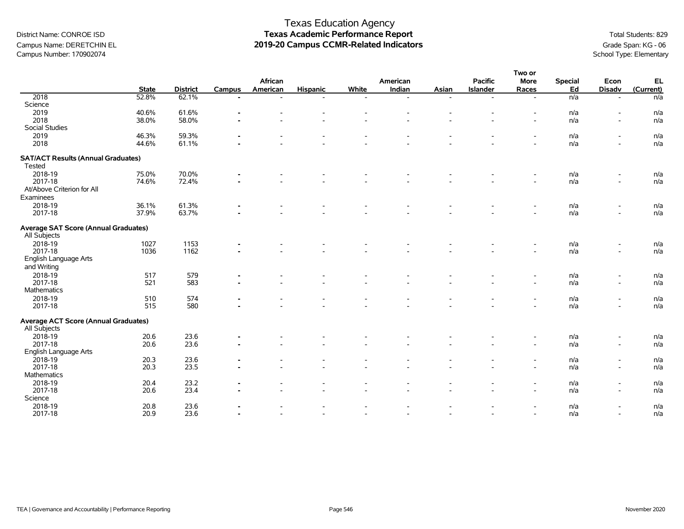## Campus Name: DERETCHIN EL **2019-20 Campus CCMR-Related Indicators** Grade Span: KG - 06<br>Campus Number: 170902074<br>School Type: Elementary Campus Number: 170902074

| <b>District</b><br>American<br><b>Hispanic</b><br>White<br>Indian<br>Races<br>Ed<br><b>Disadv</b><br>(Current)<br><b>State</b><br><b>Campus</b><br><b>Islander</b><br>Asian<br>2018<br>52.8%<br>62.1%<br>n/a<br>n/a<br>$\overline{a}$<br>$\sim$<br>$\blacksquare$<br>$\blacksquare$<br>$\blacksquare$<br>$\overline{\phantom{a}}$<br>$\blacksquare$<br>Science<br>2019<br>61.6%<br>40.6%<br>n/a<br>n/a<br>$\overline{\phantom{a}}$<br>2018<br>38.0%<br>58.0%<br>n/a<br>n/a<br>$\overline{\phantom{a}}$<br>Social Studies<br>2019<br>46.3%<br>59.3%<br>n/a<br>n/a<br>$\overline{\phantom{a}}$<br>2018<br>61.1%<br>44.6%<br>n/a<br>n/a<br>$\overline{\phantom{a}}$<br><b>SAT/ACT Results (Annual Graduates)</b><br>Tested<br>2018-19<br>75.0%<br>70.0%<br>n/a<br>n/a<br>2017-18<br>74.6%<br>72.4%<br>n/a<br>n/a<br>$\overline{a}$<br>At/Above Criterion for All<br>Examinees<br>2018-19<br>36.1%<br>61.3%<br>n/a<br>n/a<br>$\overline{\phantom{a}}$<br>2017-18<br>37.9%<br>63.7%<br>n/a<br>n/a<br><b>Average SAT Score (Annual Graduates)</b><br>All Subjects<br>2018-19<br>1027<br>1153<br>n/a<br>n/a<br>$\overline{\phantom{a}}$<br>1162<br>2017-18<br>1036<br>n/a<br>n/a<br>$\overline{\phantom{a}}$<br>English Language Arts<br>and Writing<br>2018-19<br>517<br>579<br>n/a<br>n/a<br>$\blacksquare$<br>$\overline{a}$<br>$\overline{\phantom{a}}$<br>583<br>2017-18<br>521<br>n/a<br>n/a<br>$\overline{a}$<br>$\blacksquare$<br>Mathematics<br>2018-19<br>510<br>574<br>n/a<br>n/a<br>$\overline{\phantom{a}}$<br>580<br>2017-18<br>515<br>n/a<br>n/a<br>$\blacksquare$<br><b>Average ACT Score (Annual Graduates)</b><br>All Subjects<br>20.6<br>23.6<br>2018-19<br>n/a<br>n/a<br>$\blacksquare$<br>23.6<br>2017-18<br>20.6<br>n/a<br>n/a<br>$\overline{a}$<br>$\overline{\phantom{a}}$<br>English Language Arts<br>2018-19<br>23.6<br>20.3<br>n/a<br>n/a<br>$\overline{\phantom{a}}$<br>$\blacksquare$<br>$\overline{\phantom{a}}$<br>23.5<br>2017-18<br>20.3<br>n/a<br>n/a<br>$\overline{a}$<br>$\blacksquare$<br>Mathematics<br>2018-19<br>20.4<br>23.2<br>n/a<br>n/a<br>$\overline{\phantom{0}}$<br>$\overline{\phantom{a}}$<br>2017-18<br>23.4<br>20.6<br>n/a<br>n/a<br>$\overline{a}$<br>$\overline{a}$<br>Science<br>2018-19<br>23.6<br>20.8<br>n/a<br>n/a<br>$\overline{\phantom{a}}$<br>23.6<br>2017-18<br>20.9<br>n/a<br>n/a<br>$\overline{\phantom{a}}$<br>$\overline{\phantom{a}}$<br>$\overline{\phantom{a}}$ |  |  |         |  |          |                | Two or |                |      |    |
|--------------------------------------------------------------------------------------------------------------------------------------------------------------------------------------------------------------------------------------------------------------------------------------------------------------------------------------------------------------------------------------------------------------------------------------------------------------------------------------------------------------------------------------------------------------------------------------------------------------------------------------------------------------------------------------------------------------------------------------------------------------------------------------------------------------------------------------------------------------------------------------------------------------------------------------------------------------------------------------------------------------------------------------------------------------------------------------------------------------------------------------------------------------------------------------------------------------------------------------------------------------------------------------------------------------------------------------------------------------------------------------------------------------------------------------------------------------------------------------------------------------------------------------------------------------------------------------------------------------------------------------------------------------------------------------------------------------------------------------------------------------------------------------------------------------------------------------------------------------------------------------------------------------------------------------------------------------------------------------------------------------------------------------------------------------------------------------------------------------------------------------------------------------------------------------------------------------------------------------------------------------------------------------------------------------------------------------------------------------------------------------------------------------------------------|--|--|---------|--|----------|----------------|--------|----------------|------|----|
|                                                                                                                                                                                                                                                                                                                                                                                                                                                                                                                                                                                                                                                                                                                                                                                                                                                                                                                                                                                                                                                                                                                                                                                                                                                                                                                                                                                                                                                                                                                                                                                                                                                                                                                                                                                                                                                                                                                                                                                                                                                                                                                                                                                                                                                                                                                                                                                                                                |  |  | African |  | American | <b>Pacific</b> | More   | <b>Special</b> | Econ | EL |
|                                                                                                                                                                                                                                                                                                                                                                                                                                                                                                                                                                                                                                                                                                                                                                                                                                                                                                                                                                                                                                                                                                                                                                                                                                                                                                                                                                                                                                                                                                                                                                                                                                                                                                                                                                                                                                                                                                                                                                                                                                                                                                                                                                                                                                                                                                                                                                                                                                |  |  |         |  |          |                |        |                |      |    |
|                                                                                                                                                                                                                                                                                                                                                                                                                                                                                                                                                                                                                                                                                                                                                                                                                                                                                                                                                                                                                                                                                                                                                                                                                                                                                                                                                                                                                                                                                                                                                                                                                                                                                                                                                                                                                                                                                                                                                                                                                                                                                                                                                                                                                                                                                                                                                                                                                                |  |  |         |  |          |                |        |                |      |    |
|                                                                                                                                                                                                                                                                                                                                                                                                                                                                                                                                                                                                                                                                                                                                                                                                                                                                                                                                                                                                                                                                                                                                                                                                                                                                                                                                                                                                                                                                                                                                                                                                                                                                                                                                                                                                                                                                                                                                                                                                                                                                                                                                                                                                                                                                                                                                                                                                                                |  |  |         |  |          |                |        |                |      |    |
|                                                                                                                                                                                                                                                                                                                                                                                                                                                                                                                                                                                                                                                                                                                                                                                                                                                                                                                                                                                                                                                                                                                                                                                                                                                                                                                                                                                                                                                                                                                                                                                                                                                                                                                                                                                                                                                                                                                                                                                                                                                                                                                                                                                                                                                                                                                                                                                                                                |  |  |         |  |          |                |        |                |      |    |
|                                                                                                                                                                                                                                                                                                                                                                                                                                                                                                                                                                                                                                                                                                                                                                                                                                                                                                                                                                                                                                                                                                                                                                                                                                                                                                                                                                                                                                                                                                                                                                                                                                                                                                                                                                                                                                                                                                                                                                                                                                                                                                                                                                                                                                                                                                                                                                                                                                |  |  |         |  |          |                |        |                |      |    |
|                                                                                                                                                                                                                                                                                                                                                                                                                                                                                                                                                                                                                                                                                                                                                                                                                                                                                                                                                                                                                                                                                                                                                                                                                                                                                                                                                                                                                                                                                                                                                                                                                                                                                                                                                                                                                                                                                                                                                                                                                                                                                                                                                                                                                                                                                                                                                                                                                                |  |  |         |  |          |                |        |                |      |    |
|                                                                                                                                                                                                                                                                                                                                                                                                                                                                                                                                                                                                                                                                                                                                                                                                                                                                                                                                                                                                                                                                                                                                                                                                                                                                                                                                                                                                                                                                                                                                                                                                                                                                                                                                                                                                                                                                                                                                                                                                                                                                                                                                                                                                                                                                                                                                                                                                                                |  |  |         |  |          |                |        |                |      |    |
|                                                                                                                                                                                                                                                                                                                                                                                                                                                                                                                                                                                                                                                                                                                                                                                                                                                                                                                                                                                                                                                                                                                                                                                                                                                                                                                                                                                                                                                                                                                                                                                                                                                                                                                                                                                                                                                                                                                                                                                                                                                                                                                                                                                                                                                                                                                                                                                                                                |  |  |         |  |          |                |        |                |      |    |
|                                                                                                                                                                                                                                                                                                                                                                                                                                                                                                                                                                                                                                                                                                                                                                                                                                                                                                                                                                                                                                                                                                                                                                                                                                                                                                                                                                                                                                                                                                                                                                                                                                                                                                                                                                                                                                                                                                                                                                                                                                                                                                                                                                                                                                                                                                                                                                                                                                |  |  |         |  |          |                |        |                |      |    |
|                                                                                                                                                                                                                                                                                                                                                                                                                                                                                                                                                                                                                                                                                                                                                                                                                                                                                                                                                                                                                                                                                                                                                                                                                                                                                                                                                                                                                                                                                                                                                                                                                                                                                                                                                                                                                                                                                                                                                                                                                                                                                                                                                                                                                                                                                                                                                                                                                                |  |  |         |  |          |                |        |                |      |    |
|                                                                                                                                                                                                                                                                                                                                                                                                                                                                                                                                                                                                                                                                                                                                                                                                                                                                                                                                                                                                                                                                                                                                                                                                                                                                                                                                                                                                                                                                                                                                                                                                                                                                                                                                                                                                                                                                                                                                                                                                                                                                                                                                                                                                                                                                                                                                                                                                                                |  |  |         |  |          |                |        |                |      |    |
|                                                                                                                                                                                                                                                                                                                                                                                                                                                                                                                                                                                                                                                                                                                                                                                                                                                                                                                                                                                                                                                                                                                                                                                                                                                                                                                                                                                                                                                                                                                                                                                                                                                                                                                                                                                                                                                                                                                                                                                                                                                                                                                                                                                                                                                                                                                                                                                                                                |  |  |         |  |          |                |        |                |      |    |
|                                                                                                                                                                                                                                                                                                                                                                                                                                                                                                                                                                                                                                                                                                                                                                                                                                                                                                                                                                                                                                                                                                                                                                                                                                                                                                                                                                                                                                                                                                                                                                                                                                                                                                                                                                                                                                                                                                                                                                                                                                                                                                                                                                                                                                                                                                                                                                                                                                |  |  |         |  |          |                |        |                |      |    |
|                                                                                                                                                                                                                                                                                                                                                                                                                                                                                                                                                                                                                                                                                                                                                                                                                                                                                                                                                                                                                                                                                                                                                                                                                                                                                                                                                                                                                                                                                                                                                                                                                                                                                                                                                                                                                                                                                                                                                                                                                                                                                                                                                                                                                                                                                                                                                                                                                                |  |  |         |  |          |                |        |                |      |    |
|                                                                                                                                                                                                                                                                                                                                                                                                                                                                                                                                                                                                                                                                                                                                                                                                                                                                                                                                                                                                                                                                                                                                                                                                                                                                                                                                                                                                                                                                                                                                                                                                                                                                                                                                                                                                                                                                                                                                                                                                                                                                                                                                                                                                                                                                                                                                                                                                                                |  |  |         |  |          |                |        |                |      |    |
|                                                                                                                                                                                                                                                                                                                                                                                                                                                                                                                                                                                                                                                                                                                                                                                                                                                                                                                                                                                                                                                                                                                                                                                                                                                                                                                                                                                                                                                                                                                                                                                                                                                                                                                                                                                                                                                                                                                                                                                                                                                                                                                                                                                                                                                                                                                                                                                                                                |  |  |         |  |          |                |        |                |      |    |
|                                                                                                                                                                                                                                                                                                                                                                                                                                                                                                                                                                                                                                                                                                                                                                                                                                                                                                                                                                                                                                                                                                                                                                                                                                                                                                                                                                                                                                                                                                                                                                                                                                                                                                                                                                                                                                                                                                                                                                                                                                                                                                                                                                                                                                                                                                                                                                                                                                |  |  |         |  |          |                |        |                |      |    |
|                                                                                                                                                                                                                                                                                                                                                                                                                                                                                                                                                                                                                                                                                                                                                                                                                                                                                                                                                                                                                                                                                                                                                                                                                                                                                                                                                                                                                                                                                                                                                                                                                                                                                                                                                                                                                                                                                                                                                                                                                                                                                                                                                                                                                                                                                                                                                                                                                                |  |  |         |  |          |                |        |                |      |    |
|                                                                                                                                                                                                                                                                                                                                                                                                                                                                                                                                                                                                                                                                                                                                                                                                                                                                                                                                                                                                                                                                                                                                                                                                                                                                                                                                                                                                                                                                                                                                                                                                                                                                                                                                                                                                                                                                                                                                                                                                                                                                                                                                                                                                                                                                                                                                                                                                                                |  |  |         |  |          |                |        |                |      |    |
|                                                                                                                                                                                                                                                                                                                                                                                                                                                                                                                                                                                                                                                                                                                                                                                                                                                                                                                                                                                                                                                                                                                                                                                                                                                                                                                                                                                                                                                                                                                                                                                                                                                                                                                                                                                                                                                                                                                                                                                                                                                                                                                                                                                                                                                                                                                                                                                                                                |  |  |         |  |          |                |        |                |      |    |
|                                                                                                                                                                                                                                                                                                                                                                                                                                                                                                                                                                                                                                                                                                                                                                                                                                                                                                                                                                                                                                                                                                                                                                                                                                                                                                                                                                                                                                                                                                                                                                                                                                                                                                                                                                                                                                                                                                                                                                                                                                                                                                                                                                                                                                                                                                                                                                                                                                |  |  |         |  |          |                |        |                |      |    |
|                                                                                                                                                                                                                                                                                                                                                                                                                                                                                                                                                                                                                                                                                                                                                                                                                                                                                                                                                                                                                                                                                                                                                                                                                                                                                                                                                                                                                                                                                                                                                                                                                                                                                                                                                                                                                                                                                                                                                                                                                                                                                                                                                                                                                                                                                                                                                                                                                                |  |  |         |  |          |                |        |                |      |    |
|                                                                                                                                                                                                                                                                                                                                                                                                                                                                                                                                                                                                                                                                                                                                                                                                                                                                                                                                                                                                                                                                                                                                                                                                                                                                                                                                                                                                                                                                                                                                                                                                                                                                                                                                                                                                                                                                                                                                                                                                                                                                                                                                                                                                                                                                                                                                                                                                                                |  |  |         |  |          |                |        |                |      |    |
|                                                                                                                                                                                                                                                                                                                                                                                                                                                                                                                                                                                                                                                                                                                                                                                                                                                                                                                                                                                                                                                                                                                                                                                                                                                                                                                                                                                                                                                                                                                                                                                                                                                                                                                                                                                                                                                                                                                                                                                                                                                                                                                                                                                                                                                                                                                                                                                                                                |  |  |         |  |          |                |        |                |      |    |
|                                                                                                                                                                                                                                                                                                                                                                                                                                                                                                                                                                                                                                                                                                                                                                                                                                                                                                                                                                                                                                                                                                                                                                                                                                                                                                                                                                                                                                                                                                                                                                                                                                                                                                                                                                                                                                                                                                                                                                                                                                                                                                                                                                                                                                                                                                                                                                                                                                |  |  |         |  |          |                |        |                |      |    |
|                                                                                                                                                                                                                                                                                                                                                                                                                                                                                                                                                                                                                                                                                                                                                                                                                                                                                                                                                                                                                                                                                                                                                                                                                                                                                                                                                                                                                                                                                                                                                                                                                                                                                                                                                                                                                                                                                                                                                                                                                                                                                                                                                                                                                                                                                                                                                                                                                                |  |  |         |  |          |                |        |                |      |    |
|                                                                                                                                                                                                                                                                                                                                                                                                                                                                                                                                                                                                                                                                                                                                                                                                                                                                                                                                                                                                                                                                                                                                                                                                                                                                                                                                                                                                                                                                                                                                                                                                                                                                                                                                                                                                                                                                                                                                                                                                                                                                                                                                                                                                                                                                                                                                                                                                                                |  |  |         |  |          |                |        |                |      |    |
|                                                                                                                                                                                                                                                                                                                                                                                                                                                                                                                                                                                                                                                                                                                                                                                                                                                                                                                                                                                                                                                                                                                                                                                                                                                                                                                                                                                                                                                                                                                                                                                                                                                                                                                                                                                                                                                                                                                                                                                                                                                                                                                                                                                                                                                                                                                                                                                                                                |  |  |         |  |          |                |        |                |      |    |
|                                                                                                                                                                                                                                                                                                                                                                                                                                                                                                                                                                                                                                                                                                                                                                                                                                                                                                                                                                                                                                                                                                                                                                                                                                                                                                                                                                                                                                                                                                                                                                                                                                                                                                                                                                                                                                                                                                                                                                                                                                                                                                                                                                                                                                                                                                                                                                                                                                |  |  |         |  |          |                |        |                |      |    |
|                                                                                                                                                                                                                                                                                                                                                                                                                                                                                                                                                                                                                                                                                                                                                                                                                                                                                                                                                                                                                                                                                                                                                                                                                                                                                                                                                                                                                                                                                                                                                                                                                                                                                                                                                                                                                                                                                                                                                                                                                                                                                                                                                                                                                                                                                                                                                                                                                                |  |  |         |  |          |                |        |                |      |    |
|                                                                                                                                                                                                                                                                                                                                                                                                                                                                                                                                                                                                                                                                                                                                                                                                                                                                                                                                                                                                                                                                                                                                                                                                                                                                                                                                                                                                                                                                                                                                                                                                                                                                                                                                                                                                                                                                                                                                                                                                                                                                                                                                                                                                                                                                                                                                                                                                                                |  |  |         |  |          |                |        |                |      |    |
|                                                                                                                                                                                                                                                                                                                                                                                                                                                                                                                                                                                                                                                                                                                                                                                                                                                                                                                                                                                                                                                                                                                                                                                                                                                                                                                                                                                                                                                                                                                                                                                                                                                                                                                                                                                                                                                                                                                                                                                                                                                                                                                                                                                                                                                                                                                                                                                                                                |  |  |         |  |          |                |        |                |      |    |
|                                                                                                                                                                                                                                                                                                                                                                                                                                                                                                                                                                                                                                                                                                                                                                                                                                                                                                                                                                                                                                                                                                                                                                                                                                                                                                                                                                                                                                                                                                                                                                                                                                                                                                                                                                                                                                                                                                                                                                                                                                                                                                                                                                                                                                                                                                                                                                                                                                |  |  |         |  |          |                |        |                |      |    |
|                                                                                                                                                                                                                                                                                                                                                                                                                                                                                                                                                                                                                                                                                                                                                                                                                                                                                                                                                                                                                                                                                                                                                                                                                                                                                                                                                                                                                                                                                                                                                                                                                                                                                                                                                                                                                                                                                                                                                                                                                                                                                                                                                                                                                                                                                                                                                                                                                                |  |  |         |  |          |                |        |                |      |    |
|                                                                                                                                                                                                                                                                                                                                                                                                                                                                                                                                                                                                                                                                                                                                                                                                                                                                                                                                                                                                                                                                                                                                                                                                                                                                                                                                                                                                                                                                                                                                                                                                                                                                                                                                                                                                                                                                                                                                                                                                                                                                                                                                                                                                                                                                                                                                                                                                                                |  |  |         |  |          |                |        |                |      |    |
|                                                                                                                                                                                                                                                                                                                                                                                                                                                                                                                                                                                                                                                                                                                                                                                                                                                                                                                                                                                                                                                                                                                                                                                                                                                                                                                                                                                                                                                                                                                                                                                                                                                                                                                                                                                                                                                                                                                                                                                                                                                                                                                                                                                                                                                                                                                                                                                                                                |  |  |         |  |          |                |        |                |      |    |
|                                                                                                                                                                                                                                                                                                                                                                                                                                                                                                                                                                                                                                                                                                                                                                                                                                                                                                                                                                                                                                                                                                                                                                                                                                                                                                                                                                                                                                                                                                                                                                                                                                                                                                                                                                                                                                                                                                                                                                                                                                                                                                                                                                                                                                                                                                                                                                                                                                |  |  |         |  |          |                |        |                |      |    |
|                                                                                                                                                                                                                                                                                                                                                                                                                                                                                                                                                                                                                                                                                                                                                                                                                                                                                                                                                                                                                                                                                                                                                                                                                                                                                                                                                                                                                                                                                                                                                                                                                                                                                                                                                                                                                                                                                                                                                                                                                                                                                                                                                                                                                                                                                                                                                                                                                                |  |  |         |  |          |                |        |                |      |    |
|                                                                                                                                                                                                                                                                                                                                                                                                                                                                                                                                                                                                                                                                                                                                                                                                                                                                                                                                                                                                                                                                                                                                                                                                                                                                                                                                                                                                                                                                                                                                                                                                                                                                                                                                                                                                                                                                                                                                                                                                                                                                                                                                                                                                                                                                                                                                                                                                                                |  |  |         |  |          |                |        |                |      |    |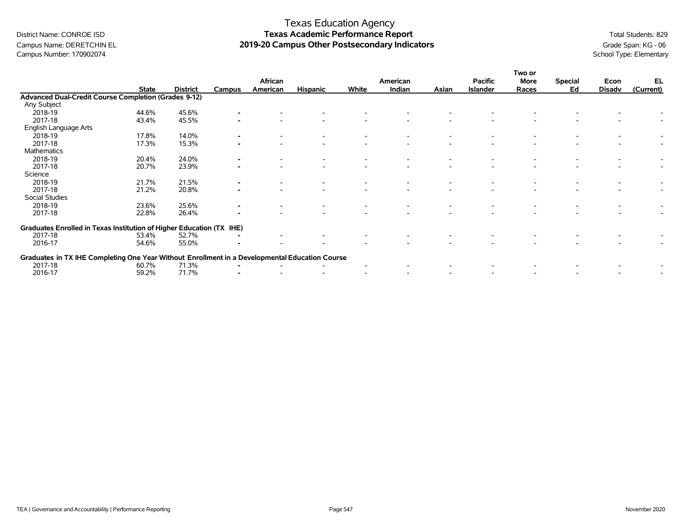# Campus Number: 170902074

## Texas Education Agency District Name: CONROE ISD **Texas Academic Performance Report Texas Academic Performance Report** Total Students: 829 Campus Name: DERETCHIN EL **2019-20 Campus Other Postsecondary Indicators** Grame 170902074 Grade Span: KG - 06<br>Campus Number: 170902074 School Type: Elementary

|                                                                                                |              |                 |        | African  |                 |       | American |       | <b>Pacific</b>  | Two or<br>More | <b>Special</b> | Econ          | EL        |
|------------------------------------------------------------------------------------------------|--------------|-----------------|--------|----------|-----------------|-------|----------|-------|-----------------|----------------|----------------|---------------|-----------|
|                                                                                                | <b>State</b> | <b>District</b> | Campus | American | <b>Hispanic</b> | White | Indian   | Asian | <b>Islander</b> | Races          | Ed             | <b>Disadv</b> | (Current) |
| <b>Advanced Dual-Credit Course Completion (Grades 9-12)</b>                                    |              |                 |        |          |                 |       |          |       |                 |                |                |               |           |
| Any Subject                                                                                    |              |                 |        |          |                 |       |          |       |                 |                |                |               |           |
| 2018-19                                                                                        | 44.6%        | 45.6%           |        |          |                 |       |          |       |                 |                |                |               |           |
| 2017-18                                                                                        | 43.4%        | 45.5%           |        |          |                 |       |          |       |                 |                |                |               |           |
| English Language Arts                                                                          |              |                 |        |          |                 |       |          |       |                 |                |                |               |           |
| 2018-19                                                                                        | 17.8%        | 14.0%           |        |          |                 |       |          |       |                 |                |                |               |           |
| 2017-18                                                                                        | 17.3%        | 15.3%           |        |          |                 |       |          |       |                 |                |                |               |           |
| Mathematics                                                                                    |              |                 |        |          |                 |       |          |       |                 |                |                |               |           |
| 2018-19                                                                                        | 20.4%        | 24.0%           |        |          |                 |       |          |       |                 |                |                |               |           |
| 2017-18                                                                                        | 20.7%        | 23.9%           |        |          |                 |       |          |       |                 |                |                |               |           |
| Science                                                                                        |              |                 |        |          |                 |       |          |       |                 |                |                |               |           |
| 2018-19                                                                                        | 21.7%        | 21.5%           |        |          |                 |       |          |       |                 |                |                |               |           |
| 2017-18                                                                                        | 21.2%        | 20.8%           |        |          |                 |       |          |       |                 |                |                |               |           |
| Social Studies                                                                                 |              |                 |        |          |                 |       |          |       |                 |                |                |               |           |
| 2018-19                                                                                        | 23.6%        | 25.6%           |        |          |                 |       |          |       |                 |                |                |               |           |
| 2017-18                                                                                        | 22.8%        | 26.4%           |        |          |                 |       |          |       |                 |                |                |               |           |
| Graduates Enrolled in Texas Institution of Higher Education (TX IHE)                           |              |                 |        |          |                 |       |          |       |                 |                |                |               |           |
| 2017-18                                                                                        | 53.4%        | 52.7%           |        |          |                 |       |          |       |                 |                |                |               |           |
| 2016-17                                                                                        | 54.6%        | 55.0%           |        |          |                 |       |          |       |                 |                |                |               |           |
| Graduates in TX IHE Completing One Year Without Enrollment in a Developmental Education Course |              |                 |        |          |                 |       |          |       |                 |                |                |               |           |
| 2017-18                                                                                        | 60.7%        | 71.3%           |        |          |                 |       |          |       |                 |                |                |               |           |
| 2016-17                                                                                        | 59.2%        | 71.7%           |        |          |                 |       |          |       |                 |                |                |               |           |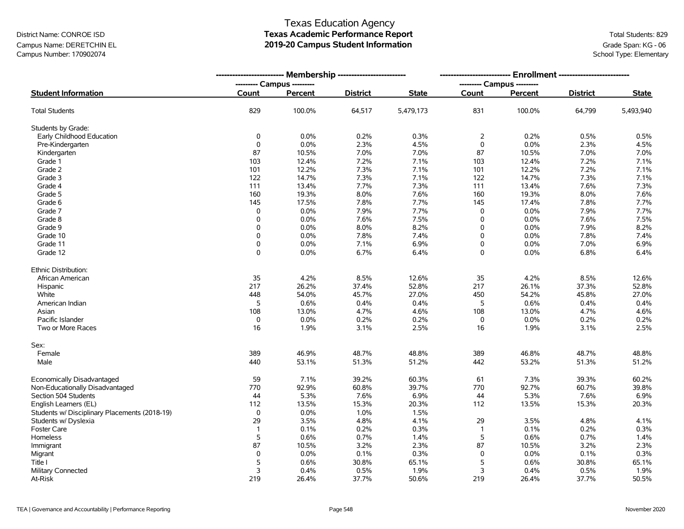## Campus Name: DERETCHIN EL **2019-20 Campus Student Information**<br>Campus Number: 170902074<br>School Type: Elementary Campus Number: 170902074

| --------- Campus ---------<br>--------- Campus ---------<br>Count<br><b>Student Information</b><br>Count<br>Percent<br><b>District</b><br><b>State</b><br>Percent<br><b>District</b><br><b>State</b><br>829<br>100.0%<br>831<br>100.0%<br><b>Total Students</b><br>64,517<br>5,479,173<br>64,799<br>5,493,940<br>Students by Grade:<br>0<br>0.0%<br>0.2%<br>0.3%<br>$\mathbf 2$<br>0.2%<br>0.5%<br>0.5%<br>Early Childhood Education<br>0<br>0.0%<br>2.3%<br>0<br>0.0%<br>4.5%<br>4.5%<br>2.3%<br>Pre-Kindergarten<br>87<br>7.0%<br>10.5%<br>7.0%<br>87<br>10.5%<br>7.0%<br>7.0%<br>Kindergarten<br>7.2%<br>103<br>12.4%<br>7.1%<br>103<br>12.4%<br>7.2%<br>7.1%<br>Grade 1<br>Grade 2<br>101<br>12.2%<br>7.3%<br>7.1%<br>12.2%<br>7.2%<br>7.1%<br>101<br>7.3%<br>7.1%<br>Grade 3<br>122<br>14.7%<br>7.1%<br>122<br>14.7%<br>7.3%<br>Grade 4<br>13.4%<br>7.7%<br>7.3%<br>13.4%<br>7.6%<br>7.3%<br>111<br>111<br>8.0%<br>7.6%<br>Grade 5<br>160<br>19.3%<br>7.6%<br>160<br>19.3%<br>8.0%<br>Grade 6<br>145<br>7.8%<br>7.7%<br>145<br>7.7%<br>17.5%<br>17.4%<br>7.8%<br>Grade 7<br>0<br>0.0%<br>7.9%<br>7.7%<br>0<br>0.0%<br>7.9%<br>7.7%<br>7.6%<br>0<br>0.0%<br>7.5%<br>Grade 8<br>0<br>0.0%<br>7.5%<br>7.6%<br>0<br>0.0%<br>8.0%<br>0<br>0.0%<br>7.9%<br>8.2%<br>Grade 9<br>8.2%<br>0<br>7.8%<br>0<br>0.0%<br>7.4%<br>Grade 10<br>0.0%<br>7.4%<br>7.8%<br>Grade 11<br>0<br>0.0%<br>7.1%<br>6.9%<br>0<br>0.0%<br>7.0%<br>6.9%<br>0<br>6.7%<br>Grade 12<br>0.0%<br>6.4%<br>0<br>0.0%<br>6.8%<br>6.4%<br>Ethnic Distribution:<br>35<br>8.5%<br>35<br>4.2%<br>12.6%<br>4.2%<br>8.5%<br>12.6%<br>African American<br>217<br>26.2%<br>37.4%<br>52.8%<br>217<br>26.1%<br>37.3%<br>52.8%<br>Hispanic<br>54.0%<br>White<br>448<br>45.7%<br>27.0%<br>450<br>54.2%<br>45.8%<br>27.0%<br>5<br>0.6%<br>0.4%<br>5<br>0.6%<br>0.4%<br>American Indian<br>0.4%<br>0.4%<br>4.7%<br>108<br>13.0%<br>4.6%<br>108<br>13.0%<br>4.7%<br>4.6%<br>Asian<br>0.0%<br>0.2%<br>0.0%<br>0.2%<br>Pacific Islander<br>0<br>0.2%<br>0<br>0.2%<br>16<br>1.9%<br>3.1%<br>2.5%<br>16<br>1.9%<br>3.1%<br>2.5%<br>Two or More Races<br>Sex:<br>389<br>46.9%<br>48.7%<br>48.8%<br>389<br>46.8%<br>48.7%<br>48.8%<br>Female<br>442<br>53.2%<br>Male<br>440<br>53.1%<br>51.3%<br>51.2%<br>51.3%<br>51.2%<br>Economically Disadvantaged<br>59<br>7.1%<br>39.2%<br>60.3%<br>7.3%<br>39.3%<br>60.2%<br>61<br>92.9%<br>770<br>60.8%<br>39.7%<br>770<br>92.7%<br>60.7%<br>39.8%<br>Non-Educationally Disadvantaged<br>5.3%<br>7.6%<br>6.9%<br>5.3%<br>Section 504 Students<br>44<br>44<br>7.6%<br>6.9%<br>112<br>13.5%<br>15.3%<br>20.3%<br>13.5%<br>15.3%<br>112<br>20.3%<br>English Learners (EL)<br>0.0%<br>Students w/ Disciplinary Placements (2018-19)<br>0<br>1.0%<br>1.5%<br>29<br>3.5%<br>4.8%<br>4.1%<br>29<br>3.5%<br>4.8%<br>4.1%<br>Students w/ Dyslexia<br>$\mathbf{1}$<br>0.1%<br>0.2%<br>0.3%<br>$\overline{1}$<br>0.1%<br>0.2%<br>0.3%<br><b>Foster Care</b><br>5<br>0.6%<br>0.7%<br>5<br>0.6%<br>0.7%<br>1.4%<br>Homeless<br>1.4%<br>87<br>3.2%<br>87<br>10.5%<br>2.3%<br>10.5%<br>3.2%<br>2.3%<br>Immigrant<br>0.1%<br>0<br>0.0%<br>0.3%<br>0<br>0.0%<br>0.1%<br>0.3%<br>Migrant<br>5<br>5<br>0.6%<br>30.8%<br>0.6%<br>65.1%<br>Title I<br>65.1%<br>30.8%<br>3<br>0.5%<br>3<br>1.9%<br>0.4%<br>1.9%<br>0.4%<br>0.5%<br>Military Connected<br>219<br>219<br>50.5%<br>At-Risk<br>26.4%<br>37.7%<br>50.6%<br>26.4%<br>37.7% |  |  |  |  |  |  |  |
|-------------------------------------------------------------------------------------------------------------------------------------------------------------------------------------------------------------------------------------------------------------------------------------------------------------------------------------------------------------------------------------------------------------------------------------------------------------------------------------------------------------------------------------------------------------------------------------------------------------------------------------------------------------------------------------------------------------------------------------------------------------------------------------------------------------------------------------------------------------------------------------------------------------------------------------------------------------------------------------------------------------------------------------------------------------------------------------------------------------------------------------------------------------------------------------------------------------------------------------------------------------------------------------------------------------------------------------------------------------------------------------------------------------------------------------------------------------------------------------------------------------------------------------------------------------------------------------------------------------------------------------------------------------------------------------------------------------------------------------------------------------------------------------------------------------------------------------------------------------------------------------------------------------------------------------------------------------------------------------------------------------------------------------------------------------------------------------------------------------------------------------------------------------------------------------------------------------------------------------------------------------------------------------------------------------------------------------------------------------------------------------------------------------------------------------------------------------------------------------------------------------------------------------------------------------------------------------------------------------------------------------------------------------------------------------------------------------------------------------------------------------------------------------------------------------------------------------------------------------------------------------------------------------------------------------------------------------------------------------------------------------------------------------------------------------------------------------------------------------------------------------------------------------------------------------------------------------------------------------------------------------------------------------------------------------------------------------------------------------------------------------------------|--|--|--|--|--|--|--|
|                                                                                                                                                                                                                                                                                                                                                                                                                                                                                                                                                                                                                                                                                                                                                                                                                                                                                                                                                                                                                                                                                                                                                                                                                                                                                                                                                                                                                                                                                                                                                                                                                                                                                                                                                                                                                                                                                                                                                                                                                                                                                                                                                                                                                                                                                                                                                                                                                                                                                                                                                                                                                                                                                                                                                                                                                                                                                                                                                                                                                                                                                                                                                                                                                                                                                                                                                                                                 |  |  |  |  |  |  |  |
|                                                                                                                                                                                                                                                                                                                                                                                                                                                                                                                                                                                                                                                                                                                                                                                                                                                                                                                                                                                                                                                                                                                                                                                                                                                                                                                                                                                                                                                                                                                                                                                                                                                                                                                                                                                                                                                                                                                                                                                                                                                                                                                                                                                                                                                                                                                                                                                                                                                                                                                                                                                                                                                                                                                                                                                                                                                                                                                                                                                                                                                                                                                                                                                                                                                                                                                                                                                                 |  |  |  |  |  |  |  |
|                                                                                                                                                                                                                                                                                                                                                                                                                                                                                                                                                                                                                                                                                                                                                                                                                                                                                                                                                                                                                                                                                                                                                                                                                                                                                                                                                                                                                                                                                                                                                                                                                                                                                                                                                                                                                                                                                                                                                                                                                                                                                                                                                                                                                                                                                                                                                                                                                                                                                                                                                                                                                                                                                                                                                                                                                                                                                                                                                                                                                                                                                                                                                                                                                                                                                                                                                                                                 |  |  |  |  |  |  |  |
|                                                                                                                                                                                                                                                                                                                                                                                                                                                                                                                                                                                                                                                                                                                                                                                                                                                                                                                                                                                                                                                                                                                                                                                                                                                                                                                                                                                                                                                                                                                                                                                                                                                                                                                                                                                                                                                                                                                                                                                                                                                                                                                                                                                                                                                                                                                                                                                                                                                                                                                                                                                                                                                                                                                                                                                                                                                                                                                                                                                                                                                                                                                                                                                                                                                                                                                                                                                                 |  |  |  |  |  |  |  |
|                                                                                                                                                                                                                                                                                                                                                                                                                                                                                                                                                                                                                                                                                                                                                                                                                                                                                                                                                                                                                                                                                                                                                                                                                                                                                                                                                                                                                                                                                                                                                                                                                                                                                                                                                                                                                                                                                                                                                                                                                                                                                                                                                                                                                                                                                                                                                                                                                                                                                                                                                                                                                                                                                                                                                                                                                                                                                                                                                                                                                                                                                                                                                                                                                                                                                                                                                                                                 |  |  |  |  |  |  |  |
|                                                                                                                                                                                                                                                                                                                                                                                                                                                                                                                                                                                                                                                                                                                                                                                                                                                                                                                                                                                                                                                                                                                                                                                                                                                                                                                                                                                                                                                                                                                                                                                                                                                                                                                                                                                                                                                                                                                                                                                                                                                                                                                                                                                                                                                                                                                                                                                                                                                                                                                                                                                                                                                                                                                                                                                                                                                                                                                                                                                                                                                                                                                                                                                                                                                                                                                                                                                                 |  |  |  |  |  |  |  |
|                                                                                                                                                                                                                                                                                                                                                                                                                                                                                                                                                                                                                                                                                                                                                                                                                                                                                                                                                                                                                                                                                                                                                                                                                                                                                                                                                                                                                                                                                                                                                                                                                                                                                                                                                                                                                                                                                                                                                                                                                                                                                                                                                                                                                                                                                                                                                                                                                                                                                                                                                                                                                                                                                                                                                                                                                                                                                                                                                                                                                                                                                                                                                                                                                                                                                                                                                                                                 |  |  |  |  |  |  |  |
|                                                                                                                                                                                                                                                                                                                                                                                                                                                                                                                                                                                                                                                                                                                                                                                                                                                                                                                                                                                                                                                                                                                                                                                                                                                                                                                                                                                                                                                                                                                                                                                                                                                                                                                                                                                                                                                                                                                                                                                                                                                                                                                                                                                                                                                                                                                                                                                                                                                                                                                                                                                                                                                                                                                                                                                                                                                                                                                                                                                                                                                                                                                                                                                                                                                                                                                                                                                                 |  |  |  |  |  |  |  |
|                                                                                                                                                                                                                                                                                                                                                                                                                                                                                                                                                                                                                                                                                                                                                                                                                                                                                                                                                                                                                                                                                                                                                                                                                                                                                                                                                                                                                                                                                                                                                                                                                                                                                                                                                                                                                                                                                                                                                                                                                                                                                                                                                                                                                                                                                                                                                                                                                                                                                                                                                                                                                                                                                                                                                                                                                                                                                                                                                                                                                                                                                                                                                                                                                                                                                                                                                                                                 |  |  |  |  |  |  |  |
|                                                                                                                                                                                                                                                                                                                                                                                                                                                                                                                                                                                                                                                                                                                                                                                                                                                                                                                                                                                                                                                                                                                                                                                                                                                                                                                                                                                                                                                                                                                                                                                                                                                                                                                                                                                                                                                                                                                                                                                                                                                                                                                                                                                                                                                                                                                                                                                                                                                                                                                                                                                                                                                                                                                                                                                                                                                                                                                                                                                                                                                                                                                                                                                                                                                                                                                                                                                                 |  |  |  |  |  |  |  |
|                                                                                                                                                                                                                                                                                                                                                                                                                                                                                                                                                                                                                                                                                                                                                                                                                                                                                                                                                                                                                                                                                                                                                                                                                                                                                                                                                                                                                                                                                                                                                                                                                                                                                                                                                                                                                                                                                                                                                                                                                                                                                                                                                                                                                                                                                                                                                                                                                                                                                                                                                                                                                                                                                                                                                                                                                                                                                                                                                                                                                                                                                                                                                                                                                                                                                                                                                                                                 |  |  |  |  |  |  |  |
|                                                                                                                                                                                                                                                                                                                                                                                                                                                                                                                                                                                                                                                                                                                                                                                                                                                                                                                                                                                                                                                                                                                                                                                                                                                                                                                                                                                                                                                                                                                                                                                                                                                                                                                                                                                                                                                                                                                                                                                                                                                                                                                                                                                                                                                                                                                                                                                                                                                                                                                                                                                                                                                                                                                                                                                                                                                                                                                                                                                                                                                                                                                                                                                                                                                                                                                                                                                                 |  |  |  |  |  |  |  |
|                                                                                                                                                                                                                                                                                                                                                                                                                                                                                                                                                                                                                                                                                                                                                                                                                                                                                                                                                                                                                                                                                                                                                                                                                                                                                                                                                                                                                                                                                                                                                                                                                                                                                                                                                                                                                                                                                                                                                                                                                                                                                                                                                                                                                                                                                                                                                                                                                                                                                                                                                                                                                                                                                                                                                                                                                                                                                                                                                                                                                                                                                                                                                                                                                                                                                                                                                                                                 |  |  |  |  |  |  |  |
|                                                                                                                                                                                                                                                                                                                                                                                                                                                                                                                                                                                                                                                                                                                                                                                                                                                                                                                                                                                                                                                                                                                                                                                                                                                                                                                                                                                                                                                                                                                                                                                                                                                                                                                                                                                                                                                                                                                                                                                                                                                                                                                                                                                                                                                                                                                                                                                                                                                                                                                                                                                                                                                                                                                                                                                                                                                                                                                                                                                                                                                                                                                                                                                                                                                                                                                                                                                                 |  |  |  |  |  |  |  |
|                                                                                                                                                                                                                                                                                                                                                                                                                                                                                                                                                                                                                                                                                                                                                                                                                                                                                                                                                                                                                                                                                                                                                                                                                                                                                                                                                                                                                                                                                                                                                                                                                                                                                                                                                                                                                                                                                                                                                                                                                                                                                                                                                                                                                                                                                                                                                                                                                                                                                                                                                                                                                                                                                                                                                                                                                                                                                                                                                                                                                                                                                                                                                                                                                                                                                                                                                                                                 |  |  |  |  |  |  |  |
|                                                                                                                                                                                                                                                                                                                                                                                                                                                                                                                                                                                                                                                                                                                                                                                                                                                                                                                                                                                                                                                                                                                                                                                                                                                                                                                                                                                                                                                                                                                                                                                                                                                                                                                                                                                                                                                                                                                                                                                                                                                                                                                                                                                                                                                                                                                                                                                                                                                                                                                                                                                                                                                                                                                                                                                                                                                                                                                                                                                                                                                                                                                                                                                                                                                                                                                                                                                                 |  |  |  |  |  |  |  |
|                                                                                                                                                                                                                                                                                                                                                                                                                                                                                                                                                                                                                                                                                                                                                                                                                                                                                                                                                                                                                                                                                                                                                                                                                                                                                                                                                                                                                                                                                                                                                                                                                                                                                                                                                                                                                                                                                                                                                                                                                                                                                                                                                                                                                                                                                                                                                                                                                                                                                                                                                                                                                                                                                                                                                                                                                                                                                                                                                                                                                                                                                                                                                                                                                                                                                                                                                                                                 |  |  |  |  |  |  |  |
|                                                                                                                                                                                                                                                                                                                                                                                                                                                                                                                                                                                                                                                                                                                                                                                                                                                                                                                                                                                                                                                                                                                                                                                                                                                                                                                                                                                                                                                                                                                                                                                                                                                                                                                                                                                                                                                                                                                                                                                                                                                                                                                                                                                                                                                                                                                                                                                                                                                                                                                                                                                                                                                                                                                                                                                                                                                                                                                                                                                                                                                                                                                                                                                                                                                                                                                                                                                                 |  |  |  |  |  |  |  |
|                                                                                                                                                                                                                                                                                                                                                                                                                                                                                                                                                                                                                                                                                                                                                                                                                                                                                                                                                                                                                                                                                                                                                                                                                                                                                                                                                                                                                                                                                                                                                                                                                                                                                                                                                                                                                                                                                                                                                                                                                                                                                                                                                                                                                                                                                                                                                                                                                                                                                                                                                                                                                                                                                                                                                                                                                                                                                                                                                                                                                                                                                                                                                                                                                                                                                                                                                                                                 |  |  |  |  |  |  |  |
|                                                                                                                                                                                                                                                                                                                                                                                                                                                                                                                                                                                                                                                                                                                                                                                                                                                                                                                                                                                                                                                                                                                                                                                                                                                                                                                                                                                                                                                                                                                                                                                                                                                                                                                                                                                                                                                                                                                                                                                                                                                                                                                                                                                                                                                                                                                                                                                                                                                                                                                                                                                                                                                                                                                                                                                                                                                                                                                                                                                                                                                                                                                                                                                                                                                                                                                                                                                                 |  |  |  |  |  |  |  |
|                                                                                                                                                                                                                                                                                                                                                                                                                                                                                                                                                                                                                                                                                                                                                                                                                                                                                                                                                                                                                                                                                                                                                                                                                                                                                                                                                                                                                                                                                                                                                                                                                                                                                                                                                                                                                                                                                                                                                                                                                                                                                                                                                                                                                                                                                                                                                                                                                                                                                                                                                                                                                                                                                                                                                                                                                                                                                                                                                                                                                                                                                                                                                                                                                                                                                                                                                                                                 |  |  |  |  |  |  |  |
|                                                                                                                                                                                                                                                                                                                                                                                                                                                                                                                                                                                                                                                                                                                                                                                                                                                                                                                                                                                                                                                                                                                                                                                                                                                                                                                                                                                                                                                                                                                                                                                                                                                                                                                                                                                                                                                                                                                                                                                                                                                                                                                                                                                                                                                                                                                                                                                                                                                                                                                                                                                                                                                                                                                                                                                                                                                                                                                                                                                                                                                                                                                                                                                                                                                                                                                                                                                                 |  |  |  |  |  |  |  |
|                                                                                                                                                                                                                                                                                                                                                                                                                                                                                                                                                                                                                                                                                                                                                                                                                                                                                                                                                                                                                                                                                                                                                                                                                                                                                                                                                                                                                                                                                                                                                                                                                                                                                                                                                                                                                                                                                                                                                                                                                                                                                                                                                                                                                                                                                                                                                                                                                                                                                                                                                                                                                                                                                                                                                                                                                                                                                                                                                                                                                                                                                                                                                                                                                                                                                                                                                                                                 |  |  |  |  |  |  |  |
|                                                                                                                                                                                                                                                                                                                                                                                                                                                                                                                                                                                                                                                                                                                                                                                                                                                                                                                                                                                                                                                                                                                                                                                                                                                                                                                                                                                                                                                                                                                                                                                                                                                                                                                                                                                                                                                                                                                                                                                                                                                                                                                                                                                                                                                                                                                                                                                                                                                                                                                                                                                                                                                                                                                                                                                                                                                                                                                                                                                                                                                                                                                                                                                                                                                                                                                                                                                                 |  |  |  |  |  |  |  |
|                                                                                                                                                                                                                                                                                                                                                                                                                                                                                                                                                                                                                                                                                                                                                                                                                                                                                                                                                                                                                                                                                                                                                                                                                                                                                                                                                                                                                                                                                                                                                                                                                                                                                                                                                                                                                                                                                                                                                                                                                                                                                                                                                                                                                                                                                                                                                                                                                                                                                                                                                                                                                                                                                                                                                                                                                                                                                                                                                                                                                                                                                                                                                                                                                                                                                                                                                                                                 |  |  |  |  |  |  |  |
|                                                                                                                                                                                                                                                                                                                                                                                                                                                                                                                                                                                                                                                                                                                                                                                                                                                                                                                                                                                                                                                                                                                                                                                                                                                                                                                                                                                                                                                                                                                                                                                                                                                                                                                                                                                                                                                                                                                                                                                                                                                                                                                                                                                                                                                                                                                                                                                                                                                                                                                                                                                                                                                                                                                                                                                                                                                                                                                                                                                                                                                                                                                                                                                                                                                                                                                                                                                                 |  |  |  |  |  |  |  |
|                                                                                                                                                                                                                                                                                                                                                                                                                                                                                                                                                                                                                                                                                                                                                                                                                                                                                                                                                                                                                                                                                                                                                                                                                                                                                                                                                                                                                                                                                                                                                                                                                                                                                                                                                                                                                                                                                                                                                                                                                                                                                                                                                                                                                                                                                                                                                                                                                                                                                                                                                                                                                                                                                                                                                                                                                                                                                                                                                                                                                                                                                                                                                                                                                                                                                                                                                                                                 |  |  |  |  |  |  |  |
|                                                                                                                                                                                                                                                                                                                                                                                                                                                                                                                                                                                                                                                                                                                                                                                                                                                                                                                                                                                                                                                                                                                                                                                                                                                                                                                                                                                                                                                                                                                                                                                                                                                                                                                                                                                                                                                                                                                                                                                                                                                                                                                                                                                                                                                                                                                                                                                                                                                                                                                                                                                                                                                                                                                                                                                                                                                                                                                                                                                                                                                                                                                                                                                                                                                                                                                                                                                                 |  |  |  |  |  |  |  |
|                                                                                                                                                                                                                                                                                                                                                                                                                                                                                                                                                                                                                                                                                                                                                                                                                                                                                                                                                                                                                                                                                                                                                                                                                                                                                                                                                                                                                                                                                                                                                                                                                                                                                                                                                                                                                                                                                                                                                                                                                                                                                                                                                                                                                                                                                                                                                                                                                                                                                                                                                                                                                                                                                                                                                                                                                                                                                                                                                                                                                                                                                                                                                                                                                                                                                                                                                                                                 |  |  |  |  |  |  |  |
|                                                                                                                                                                                                                                                                                                                                                                                                                                                                                                                                                                                                                                                                                                                                                                                                                                                                                                                                                                                                                                                                                                                                                                                                                                                                                                                                                                                                                                                                                                                                                                                                                                                                                                                                                                                                                                                                                                                                                                                                                                                                                                                                                                                                                                                                                                                                                                                                                                                                                                                                                                                                                                                                                                                                                                                                                                                                                                                                                                                                                                                                                                                                                                                                                                                                                                                                                                                                 |  |  |  |  |  |  |  |
|                                                                                                                                                                                                                                                                                                                                                                                                                                                                                                                                                                                                                                                                                                                                                                                                                                                                                                                                                                                                                                                                                                                                                                                                                                                                                                                                                                                                                                                                                                                                                                                                                                                                                                                                                                                                                                                                                                                                                                                                                                                                                                                                                                                                                                                                                                                                                                                                                                                                                                                                                                                                                                                                                                                                                                                                                                                                                                                                                                                                                                                                                                                                                                                                                                                                                                                                                                                                 |  |  |  |  |  |  |  |
|                                                                                                                                                                                                                                                                                                                                                                                                                                                                                                                                                                                                                                                                                                                                                                                                                                                                                                                                                                                                                                                                                                                                                                                                                                                                                                                                                                                                                                                                                                                                                                                                                                                                                                                                                                                                                                                                                                                                                                                                                                                                                                                                                                                                                                                                                                                                                                                                                                                                                                                                                                                                                                                                                                                                                                                                                                                                                                                                                                                                                                                                                                                                                                                                                                                                                                                                                                                                 |  |  |  |  |  |  |  |
|                                                                                                                                                                                                                                                                                                                                                                                                                                                                                                                                                                                                                                                                                                                                                                                                                                                                                                                                                                                                                                                                                                                                                                                                                                                                                                                                                                                                                                                                                                                                                                                                                                                                                                                                                                                                                                                                                                                                                                                                                                                                                                                                                                                                                                                                                                                                                                                                                                                                                                                                                                                                                                                                                                                                                                                                                                                                                                                                                                                                                                                                                                                                                                                                                                                                                                                                                                                                 |  |  |  |  |  |  |  |
|                                                                                                                                                                                                                                                                                                                                                                                                                                                                                                                                                                                                                                                                                                                                                                                                                                                                                                                                                                                                                                                                                                                                                                                                                                                                                                                                                                                                                                                                                                                                                                                                                                                                                                                                                                                                                                                                                                                                                                                                                                                                                                                                                                                                                                                                                                                                                                                                                                                                                                                                                                                                                                                                                                                                                                                                                                                                                                                                                                                                                                                                                                                                                                                                                                                                                                                                                                                                 |  |  |  |  |  |  |  |
|                                                                                                                                                                                                                                                                                                                                                                                                                                                                                                                                                                                                                                                                                                                                                                                                                                                                                                                                                                                                                                                                                                                                                                                                                                                                                                                                                                                                                                                                                                                                                                                                                                                                                                                                                                                                                                                                                                                                                                                                                                                                                                                                                                                                                                                                                                                                                                                                                                                                                                                                                                                                                                                                                                                                                                                                                                                                                                                                                                                                                                                                                                                                                                                                                                                                                                                                                                                                 |  |  |  |  |  |  |  |
|                                                                                                                                                                                                                                                                                                                                                                                                                                                                                                                                                                                                                                                                                                                                                                                                                                                                                                                                                                                                                                                                                                                                                                                                                                                                                                                                                                                                                                                                                                                                                                                                                                                                                                                                                                                                                                                                                                                                                                                                                                                                                                                                                                                                                                                                                                                                                                                                                                                                                                                                                                                                                                                                                                                                                                                                                                                                                                                                                                                                                                                                                                                                                                                                                                                                                                                                                                                                 |  |  |  |  |  |  |  |
|                                                                                                                                                                                                                                                                                                                                                                                                                                                                                                                                                                                                                                                                                                                                                                                                                                                                                                                                                                                                                                                                                                                                                                                                                                                                                                                                                                                                                                                                                                                                                                                                                                                                                                                                                                                                                                                                                                                                                                                                                                                                                                                                                                                                                                                                                                                                                                                                                                                                                                                                                                                                                                                                                                                                                                                                                                                                                                                                                                                                                                                                                                                                                                                                                                                                                                                                                                                                 |  |  |  |  |  |  |  |
|                                                                                                                                                                                                                                                                                                                                                                                                                                                                                                                                                                                                                                                                                                                                                                                                                                                                                                                                                                                                                                                                                                                                                                                                                                                                                                                                                                                                                                                                                                                                                                                                                                                                                                                                                                                                                                                                                                                                                                                                                                                                                                                                                                                                                                                                                                                                                                                                                                                                                                                                                                                                                                                                                                                                                                                                                                                                                                                                                                                                                                                                                                                                                                                                                                                                                                                                                                                                 |  |  |  |  |  |  |  |
|                                                                                                                                                                                                                                                                                                                                                                                                                                                                                                                                                                                                                                                                                                                                                                                                                                                                                                                                                                                                                                                                                                                                                                                                                                                                                                                                                                                                                                                                                                                                                                                                                                                                                                                                                                                                                                                                                                                                                                                                                                                                                                                                                                                                                                                                                                                                                                                                                                                                                                                                                                                                                                                                                                                                                                                                                                                                                                                                                                                                                                                                                                                                                                                                                                                                                                                                                                                                 |  |  |  |  |  |  |  |
|                                                                                                                                                                                                                                                                                                                                                                                                                                                                                                                                                                                                                                                                                                                                                                                                                                                                                                                                                                                                                                                                                                                                                                                                                                                                                                                                                                                                                                                                                                                                                                                                                                                                                                                                                                                                                                                                                                                                                                                                                                                                                                                                                                                                                                                                                                                                                                                                                                                                                                                                                                                                                                                                                                                                                                                                                                                                                                                                                                                                                                                                                                                                                                                                                                                                                                                                                                                                 |  |  |  |  |  |  |  |
|                                                                                                                                                                                                                                                                                                                                                                                                                                                                                                                                                                                                                                                                                                                                                                                                                                                                                                                                                                                                                                                                                                                                                                                                                                                                                                                                                                                                                                                                                                                                                                                                                                                                                                                                                                                                                                                                                                                                                                                                                                                                                                                                                                                                                                                                                                                                                                                                                                                                                                                                                                                                                                                                                                                                                                                                                                                                                                                                                                                                                                                                                                                                                                                                                                                                                                                                                                                                 |  |  |  |  |  |  |  |
|                                                                                                                                                                                                                                                                                                                                                                                                                                                                                                                                                                                                                                                                                                                                                                                                                                                                                                                                                                                                                                                                                                                                                                                                                                                                                                                                                                                                                                                                                                                                                                                                                                                                                                                                                                                                                                                                                                                                                                                                                                                                                                                                                                                                                                                                                                                                                                                                                                                                                                                                                                                                                                                                                                                                                                                                                                                                                                                                                                                                                                                                                                                                                                                                                                                                                                                                                                                                 |  |  |  |  |  |  |  |
|                                                                                                                                                                                                                                                                                                                                                                                                                                                                                                                                                                                                                                                                                                                                                                                                                                                                                                                                                                                                                                                                                                                                                                                                                                                                                                                                                                                                                                                                                                                                                                                                                                                                                                                                                                                                                                                                                                                                                                                                                                                                                                                                                                                                                                                                                                                                                                                                                                                                                                                                                                                                                                                                                                                                                                                                                                                                                                                                                                                                                                                                                                                                                                                                                                                                                                                                                                                                 |  |  |  |  |  |  |  |
|                                                                                                                                                                                                                                                                                                                                                                                                                                                                                                                                                                                                                                                                                                                                                                                                                                                                                                                                                                                                                                                                                                                                                                                                                                                                                                                                                                                                                                                                                                                                                                                                                                                                                                                                                                                                                                                                                                                                                                                                                                                                                                                                                                                                                                                                                                                                                                                                                                                                                                                                                                                                                                                                                                                                                                                                                                                                                                                                                                                                                                                                                                                                                                                                                                                                                                                                                                                                 |  |  |  |  |  |  |  |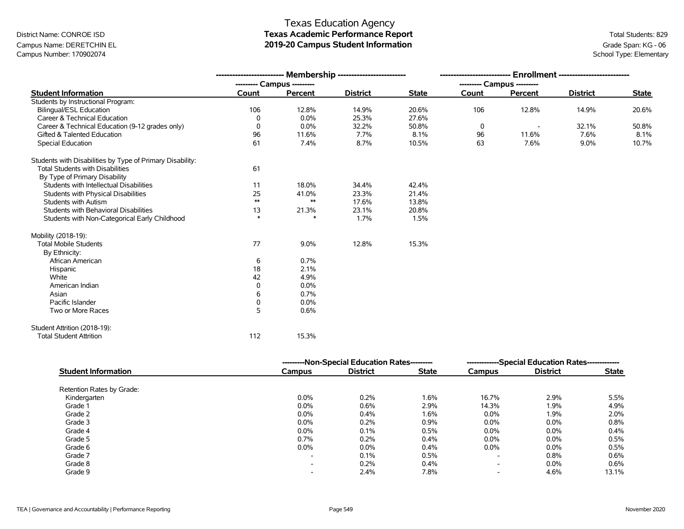## Campus Name: DERETCHIN EL **2019-20 Campus Student Information**<br>Campus Number: 170902074<br>School Type: Elementary Campus Number: 170902074

|                                                           |       |                            | ------------------------- Membership ------------------------ |              |       |                            |                 |              |
|-----------------------------------------------------------|-------|----------------------------|---------------------------------------------------------------|--------------|-------|----------------------------|-----------------|--------------|
|                                                           |       | --------- Campus --------- |                                                               |              |       | --------- Campus --------- |                 |              |
| <b>Student Information</b>                                | Count | Percent                    | <b>District</b>                                               | <b>State</b> | Count | Percent                    | <b>District</b> | <b>State</b> |
| Students by Instructional Program:                        |       |                            |                                                               |              |       |                            |                 |              |
| <b>Bilingual/ESL Education</b>                            | 106   | 12.8%                      | 14.9%                                                         | 20.6%        | 106   | 12.8%                      | 14.9%           | 20.6%        |
| Career & Technical Education                              | 0     | 0.0%                       | 25.3%                                                         | 27.6%        |       |                            |                 |              |
| Career & Technical Education (9-12 grades only)           | 0     | 0.0%                       | 32.2%                                                         | 50.8%        | 0     | $\overline{\phantom{a}}$   | 32.1%           | 50.8%        |
| Gifted & Talented Education                               | 96    | 11.6%                      | 7.7%                                                          | 8.1%         | 96    | 11.6%                      | 7.6%            | 8.1%         |
| Special Education                                         | 61    | 7.4%                       | 8.7%                                                          | 10.5%        | 63    | 7.6%                       | 9.0%            | 10.7%        |
| Students with Disabilities by Type of Primary Disability: |       |                            |                                                               |              |       |                            |                 |              |
| <b>Total Students with Disabilities</b>                   | 61    |                            |                                                               |              |       |                            |                 |              |
| By Type of Primary Disability                             |       |                            |                                                               |              |       |                            |                 |              |
| Students with Intellectual Disabilities                   | 11    | 18.0%                      | 34.4%                                                         | 42.4%        |       |                            |                 |              |
| Students with Physical Disabilities                       | 25    | 41.0%                      | 23.3%                                                         | 21.4%        |       |                            |                 |              |
| Students with Autism                                      | $**$  | $**$                       | 17.6%                                                         | 13.8%        |       |                            |                 |              |
| Students with Behavioral Disabilities                     | 13    | 21.3%                      | 23.1%                                                         | 20.8%        |       |                            |                 |              |
| Students with Non-Categorical Early Childhood             |       |                            | 1.7%                                                          | 1.5%         |       |                            |                 |              |
| Mobility (2018-19):                                       |       |                            |                                                               |              |       |                            |                 |              |
| <b>Total Mobile Students</b>                              | 77    | 9.0%                       | 12.8%                                                         | 15.3%        |       |                            |                 |              |
| By Ethnicity:                                             |       |                            |                                                               |              |       |                            |                 |              |
| African American                                          | 6     | 0.7%                       |                                                               |              |       |                            |                 |              |
| Hispanic                                                  | 18    | 2.1%                       |                                                               |              |       |                            |                 |              |
| White                                                     | 42    | 4.9%                       |                                                               |              |       |                            |                 |              |
| American Indian                                           | 0     | 0.0%                       |                                                               |              |       |                            |                 |              |
| Asian                                                     | 6     | 0.7%                       |                                                               |              |       |                            |                 |              |
| Pacific Islander                                          | 0     | 0.0%                       |                                                               |              |       |                            |                 |              |
| Two or More Races                                         | 5     | 0.6%                       |                                                               |              |       |                            |                 |              |
| Student Attrition (2018-19):                              |       |                            |                                                               |              |       |                            |                 |              |
| <b>Total Student Attrition</b>                            | 112   | 15.3%                      |                                                               |              |       |                            |                 |              |

|                            | ---------Non-Special Education Rates--------- | Special Education Rates------------- |              |                          |                 |              |
|----------------------------|-----------------------------------------------|--------------------------------------|--------------|--------------------------|-----------------|--------------|
| <b>Student Information</b> | Campus                                        | <b>District</b>                      | <b>State</b> | Campus                   | <b>District</b> | <b>State</b> |
| Retention Rates by Grade:  |                                               |                                      |              |                          |                 |              |
| Kindergarten               | $0.0\%$                                       | 0.2%                                 | 1.6%         | 16.7%                    | 2.9%            | 5.5%         |
| Grade 1                    | $0.0\%$                                       | 0.6%                                 | 2.9%         | 14.3%                    | 1.9%            | 4.9%         |
| Grade 2                    | $0.0\%$                                       | 0.4%                                 | 1.6%         | $0.0\%$                  | 1.9%            | 2.0%         |
| Grade 3                    | $0.0\%$                                       | 0.2%                                 | 0.9%         | $0.0\%$                  | $0.0\%$         | 0.8%         |
| Grade 4                    | $0.0\%$                                       | 0.1%                                 | 0.5%         | $0.0\%$                  | $0.0\%$         | $0.4\%$      |
| Grade 5                    | 0.7%                                          | 0.2%                                 | 0.4%         | $0.0\%$                  | $0.0\%$         | 0.5%         |
| Grade 6                    | $0.0\%$                                       | $0.0\%$                              | 0.4%         | $0.0\%$                  | $0.0\%$         | $0.5\%$      |
| Grade 7                    | $\overline{\phantom{0}}$                      | 0.1%                                 | 0.5%         | $\overline{\phantom{a}}$ | 0.8%            | 0.6%         |
| Grade 8                    | $\overline{\phantom{0}}$                      | 0.2%                                 | 0.4%         | $\overline{\phantom{0}}$ | $0.0\%$         | 0.6%         |
| Grade 9                    | -                                             | 2.4%                                 | 7.8%         | $\overline{\phantom{a}}$ | 4.6%            | 13.1%        |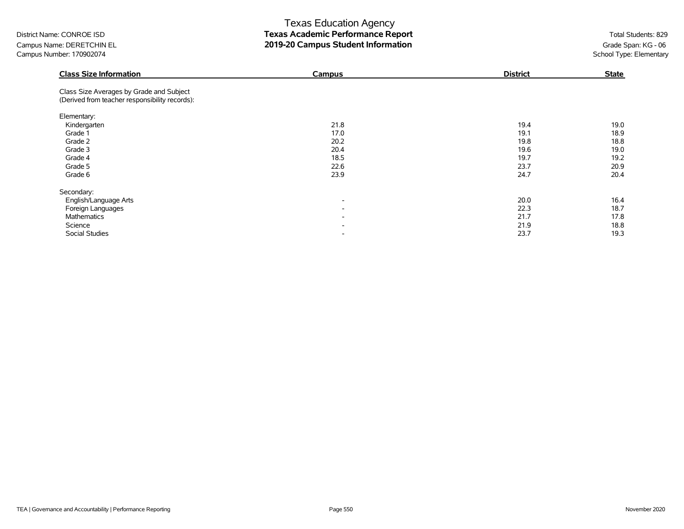|                           | <b>Texas Education Agency</b>            |                         |
|---------------------------|------------------------------------------|-------------------------|
| District Name: CONROE ISD | <b>Texas Academic Performance Report</b> | Total Students: 829     |
| Campus Name: DERETCHIN EL | 2019-20 Campus Student Information       | Grade Span: KG - 06     |
| Campus Number: 170902074  |                                          | School Type: Elementary |

| <b>Class Size Information</b>                  | Campus                   | <b>District</b> | <b>State</b> |
|------------------------------------------------|--------------------------|-----------------|--------------|
| Class Size Averages by Grade and Subject       |                          |                 |              |
| (Derived from teacher responsibility records): |                          |                 |              |
| Elementary:                                    |                          |                 |              |
| Kindergarten                                   | 21.8                     | 19.4            | 19.0         |
| Grade 1                                        | 17.0                     | 19.1            | 18.9         |
| Grade 2                                        | 20.2                     | 19.8            | 18.8         |
| Grade 3                                        | 20.4                     | 19.6            | 19.0         |
| Grade 4                                        | 18.5                     | 19.7            | 19.2         |
| Grade 5                                        | 22.6                     | 23.7            | 20.9         |
| Grade 6                                        | 23.9                     | 24.7            | 20.4         |
| Secondary:                                     |                          |                 |              |
| English/Language Arts                          | $\overline{\phantom{a}}$ | 20.0            | 16.4         |
| Foreign Languages                              | $\overline{\phantom{a}}$ | 22.3            | 18.7         |
| Mathematics                                    | $\overline{\phantom{a}}$ | 21.7            | 17.8         |
| Science                                        | $\overline{\phantom{a}}$ | 21.9            | 18.8         |
| <b>Social Studies</b>                          | $\overline{\phantom{a}}$ | 23.7            | 19.3         |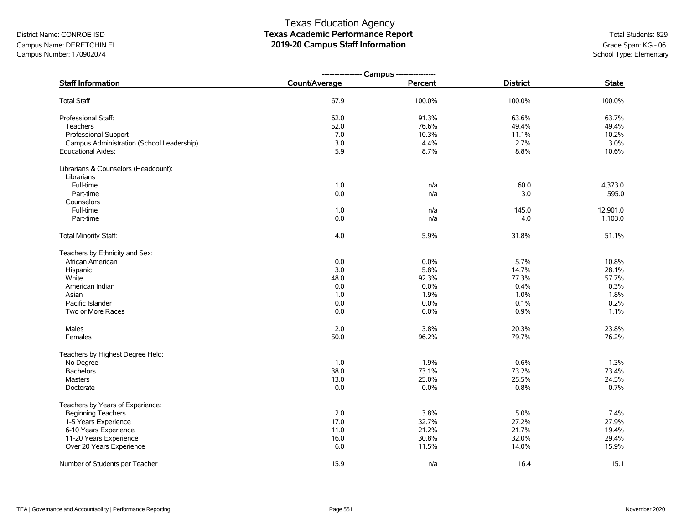## Campus Name: DERETCHIN EL **2019-20 Campus Staff Information**<br>Campus Number: 170902074<br>School Type: Elementary Campus Number: 170902074

|                                           | ---------------- Campus ---------------- |         |                 |              |
|-------------------------------------------|------------------------------------------|---------|-----------------|--------------|
| <b>Staff Information</b>                  | Count/Average                            | Percent | <b>District</b> | <b>State</b> |
| <b>Total Staff</b>                        | 67.9                                     | 100.0%  | 100.0%          | 100.0%       |
| Professional Staff:                       | 62.0                                     | 91.3%   | 63.6%           | 63.7%        |
| Teachers                                  | 52.0                                     | 76.6%   | 49.4%           | 49.4%        |
| Professional Support                      | 7.0                                      | 10.3%   | 11.1%           | 10.2%        |
| Campus Administration (School Leadership) | 3.0                                      | 4.4%    | 2.7%            | 3.0%         |
| <b>Educational Aides:</b>                 | 5.9                                      | 8.7%    | 8.8%            | 10.6%        |
| Librarians & Counselors (Headcount):      |                                          |         |                 |              |
| Librarians                                |                                          |         |                 |              |
| Full-time                                 | $1.0$                                    | n/a     | 60.0            | 4,373.0      |
| Part-time                                 | 0.0                                      | n/a     | 3.0             | 595.0        |
| Counselors                                |                                          |         |                 |              |
| Full-time                                 | 1.0                                      | n/a     | 145.0           | 12,901.0     |
| Part-time                                 | $0.0\,$                                  | n/a     | 4.0             | 1,103.0      |
| Total Minority Staff:                     | 4.0                                      | 5.9%    | 31.8%           | 51.1%        |
| Teachers by Ethnicity and Sex:            |                                          |         |                 |              |
| African American                          | 0.0                                      | 0.0%    | 5.7%            | 10.8%        |
| Hispanic                                  | 3.0                                      | 5.8%    | 14.7%           | 28.1%        |
| White                                     | 48.0                                     | 92.3%   | 77.3%           | 57.7%        |
| American Indian                           | 0.0                                      | 0.0%    | 0.4%            | 0.3%         |
| Asian                                     | 1.0                                      | 1.9%    | 1.0%            | 1.8%         |
| Pacific Islander                          | 0.0                                      | 0.0%    | 0.1%            | 0.2%         |
| Two or More Races                         | 0.0                                      | 0.0%    | 0.9%            | 1.1%         |
| Males                                     | 2.0                                      | 3.8%    | 20.3%           | 23.8%        |
| Females                                   | 50.0                                     | 96.2%   | 79.7%           | 76.2%        |
| Teachers by Highest Degree Held:          |                                          |         |                 |              |
| No Degree                                 | 1.0                                      | 1.9%    | 0.6%            | 1.3%         |
| <b>Bachelors</b>                          | 38.0                                     | 73.1%   | 73.2%           | 73.4%        |
| <b>Masters</b>                            | 13.0                                     | 25.0%   | 25.5%           | 24.5%        |
| Doctorate                                 | 0.0                                      | 0.0%    | 0.8%            | 0.7%         |
| Teachers by Years of Experience:          |                                          |         |                 |              |
| <b>Beginning Teachers</b>                 | 2.0                                      | 3.8%    | 5.0%            | 7.4%         |
| 1-5 Years Experience                      | 17.0                                     | 32.7%   | 27.2%           | 27.9%        |
| 6-10 Years Experience                     | 11.0                                     | 21.2%   | 21.7%           | 19.4%        |
| 11-20 Years Experience                    | 16.0                                     | 30.8%   | 32.0%           | 29.4%        |
| Over 20 Years Experience                  | 6.0                                      | 11.5%   | 14.0%           | 15.9%        |
| Number of Students per Teacher            | 15.9                                     | n/a     | 16.4            | 15.1         |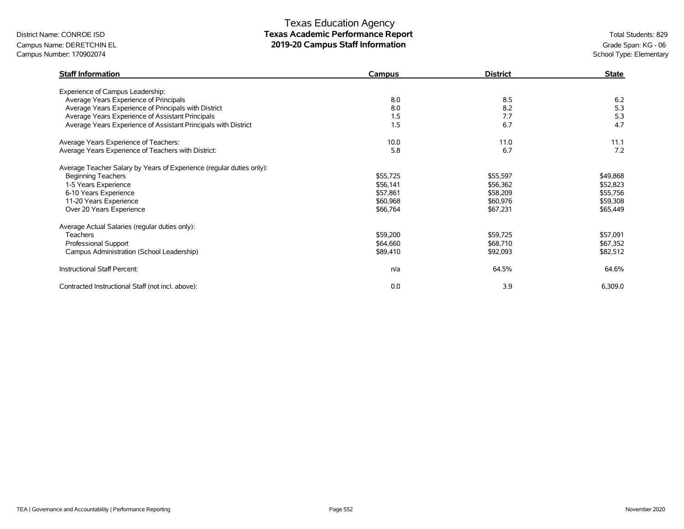## Texas Education Agency District Name: CONROE ISD **Texas Academic Performance Report Texas Academic Performance Report** Total Students: 829

Campus Name: DERETCHIN EL **2019-20 Campus Staff Information**<br>Campus Number: 170902074<br>School Type: Elementary Campus Number: 170902074

| <b>Staff Information</b>                                             | <b>Campus</b> | <b>District</b> | <b>State</b> |
|----------------------------------------------------------------------|---------------|-----------------|--------------|
| Experience of Campus Leadership:                                     |               |                 |              |
| Average Years Experience of Principals                               | 8.0           | 8.5             | 6.2          |
| Average Years Experience of Principals with District                 | 8.0           | 8.2             | 5.3          |
| Average Years Experience of Assistant Principals                     | 1.5           | 7.7             | 5.3          |
| Average Years Experience of Assistant Principals with District       | 1.5           | 6.7             | 4.7          |
| Average Years Experience of Teachers:                                | 10.0          | 11.0            | 11.1         |
| Average Years Experience of Teachers with District:                  | 5.8           | 6.7             | 7.2          |
| Average Teacher Salary by Years of Experience (regular duties only): |               |                 |              |
| <b>Beginning Teachers</b>                                            | \$55,725      | \$55,597        | \$49,868     |
| 1-5 Years Experience                                                 | \$56,141      | \$56,362        | \$52,823     |
| 6-10 Years Experience                                                | \$57,861      | \$58,209        | \$55,756     |
| 11-20 Years Experience                                               | \$60,968      | \$60,976        | \$59,308     |
| Over 20 Years Experience                                             | \$66,764      | \$67,231        | \$65,449     |
| Average Actual Salaries (regular duties only):                       |               |                 |              |
| Teachers                                                             | \$59,200      | \$59,725        | \$57,091     |
| Professional Support                                                 | \$64,660      | \$68,710        | \$67,352     |
| Campus Administration (School Leadership)                            | \$89,410      | \$92,093        | \$82,512     |
| Instructional Staff Percent:                                         | n/a           | 64.5%           | 64.6%        |
| Contracted Instructional Staff (not incl. above):                    | 0.0           | 3.9             | 6,309.0      |